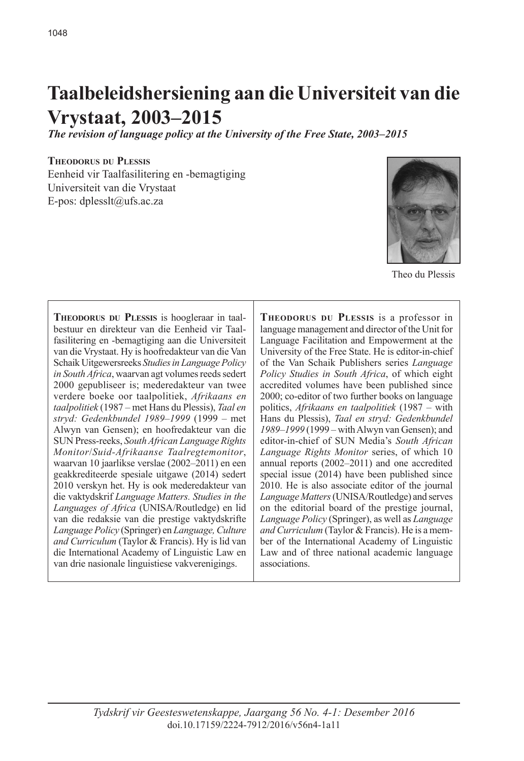# **Taalbeleidshersiening aan die Universiteit van die Vrystaat, 2003–2015**

*The revision of language policy at the University of the Free State, 2003–2015* 

**Theodorus du Plessis** Eenheid vir Taalfasilitering en -bemagtiging Universiteit van die Vrystaat E-pos: dplesslt@ufs.ac.za



Theo du Plessis

**Theodorus du Plessis** is hoogleraar in taalbestuur en direkteur van die Eenheid vir Taalfasilitering en -bemagtiging aan die Universiteit van die Vrystaat. Hy is hoofredakteur van die Van Schaik Uitgewersreeks *Studies in Language Policy in South Africa*, waarvan agt volumes reeds sedert 2000 gepubliseer is; mederedakteur van twee verdere boeke oor taalpolitiek, *Afrikaans en taalpolitiek* (1987 – met Hans du Plessis), *Taal en stryd: Gedenkbundel 1989–1999* (1999 – met Alwyn van Gensen); en hoofredakteur van die SUN Press-reeks, *South African Language Rights Monitor*/*Suid-Afrikaanse Taalregtemonitor*, waarvan 10 jaarlikse verslae (2002–2011) en een geakkrediteerde spesiale uitgawe (2014) sedert 2010 verskyn het. Hy is ook mederedakteur van die vaktydskrif *Language Matters. Studies in the Languages of Africa* (UNISA/Routledge) en lid van die redaksie van die prestige vaktydskrifte *Language Policy* (Springer) en *Language, Culture and Curriculum* (Taylor & Francis). Hy is lid van die International Academy of Linguistic Law en van drie nasionale linguistiese vakverenigings.

**Theodorus du Plessis** is a professor in language management and director of the Unit for Language Facilitation and Empowerment at the University of the Free State. He is editor-in-chief of the Van Schaik Publishers series *Language Policy Studies in South Africa*, of which eight accredited volumes have been published since 2000; co-editor of two further books on language politics, *Afrikaans en taalpolitiek* (1987 – with Hans du Plessis), *Taal en stryd: Gedenkbundel 1989–1999* (1999 – with Alwyn van Gensen); and editor-in-chief of SUN Media's *South African Language Rights Monitor* series, of which 10 annual reports (2002–2011) and one accredited special issue (2014) have been published since 2010. He is also associate editor of the journal *Language Matters* (UNISA/Routledge) and serves on the editorial board of the prestige journal, *Language Policy* (Springer), as well as *Language and Curriculum* (Taylor & Francis). He is a member of the International Academy of Linguistic Law and of three national academic language associations.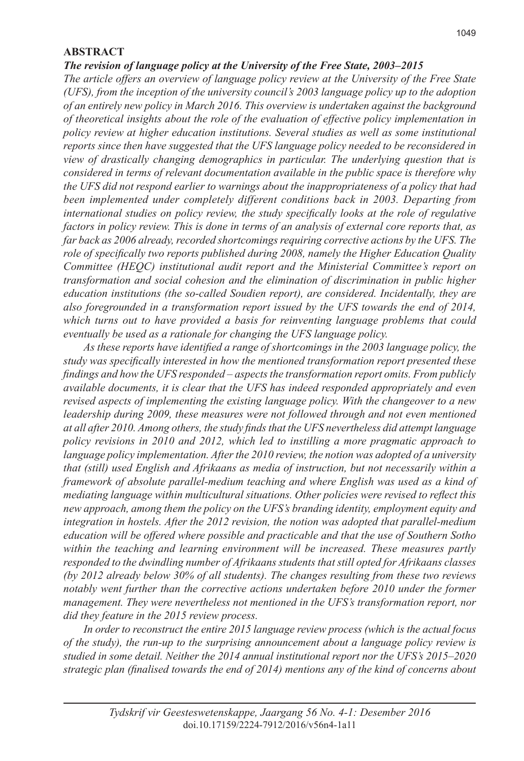#### **ABSTRACT**

#### *The revision of language policy at the University of the Free State, 2003–2015*

*The article offers an overview of language policy review at the University of the Free State (UFS), from the inception of the university council's 2003 language policy up to the adoption of an entirely new policy in March 2016. This overview is undertaken against the background of theoretical insights about the role of the evaluation of effective policy implementation in policy review at higher education institutions. Several studies as well as some institutional reports since then have suggested that the UFS language policy needed to be reconsidered in view of drastically changing demographics in particular. The underlying question that is considered in terms of relevant documentation available in the public space is therefore why the UFS did not respond earlier to warnings about the inappropriateness of a policy that had been implemented under completely different conditions back in 2003. Departing from international studies on policy review, the study specifically looks at the role of regulative factors in policy review. This is done in terms of an analysis of external core reports that, as far back as 2006 already, recorded shortcomings requiring corrective actions by the UFS. The role of specifically two reports published during 2008, namely the Higher Education Quality Committee (HEQC) institutional audit report and the Ministerial Committee's report on transformation and social cohesion and the elimination of discrimination in public higher education institutions (the so-called Soudien report), are considered. Incidentally, they are also foregrounded in a transformation report issued by the UFS towards the end of 2014, which turns out to have provided a basis for reinventing language problems that could eventually be used as a rationale for changing the UFS language policy.* 

*As these reports have identified a range of shortcomings in the 2003 language policy, the study was specifically interested in how the mentioned transformation report presented these findings and how the UFS responded – aspects the transformation report omits. From publicly available documents, it is clear that the UFS has indeed responded appropriately and even revised aspects of implementing the existing language policy. With the changeover to a new leadership during 2009, these measures were not followed through and not even mentioned at all after 2010. Among others, the study finds that the UFS nevertheless did attempt language policy revisions in 2010 and 2012, which led to instilling a more pragmatic approach to language policy implementation. After the 2010 review, the notion was adopted of a university that (still) used English and Afrikaans as media of instruction, but not necessarily within a framework of absolute parallel-medium teaching and where English was used as a kind of mediating language within multicultural situations. Other policies were revised to reflect this new approach, among them the policy on the UFS's branding identity, employment equity and integration in hostels. After the 2012 revision, the notion was adopted that parallel-medium education will be offered where possible and practicable and that the use of Southern Sotho*  within the teaching and learning environment will be increased. These measures partly *responded to the dwindling number of Afrikaans students that still opted for Afrikaans classes (by 2012 already below 30% of all students). The changes resulting from these two reviews notably went further than the corrective actions undertaken before 2010 under the former management. They were nevertheless not mentioned in the UFS's transformation report, nor did they feature in the 2015 review process.* 

*In order to reconstruct the entire 2015 language review process (which is the actual focus of the study), the run-up to the surprising announcement about a language policy review is studied in some detail. Neither the 2014 annual institutional report nor the UFS's 2015–2020 strategic plan (finalised towards the end of 2014) mentions any of the kind of concerns about*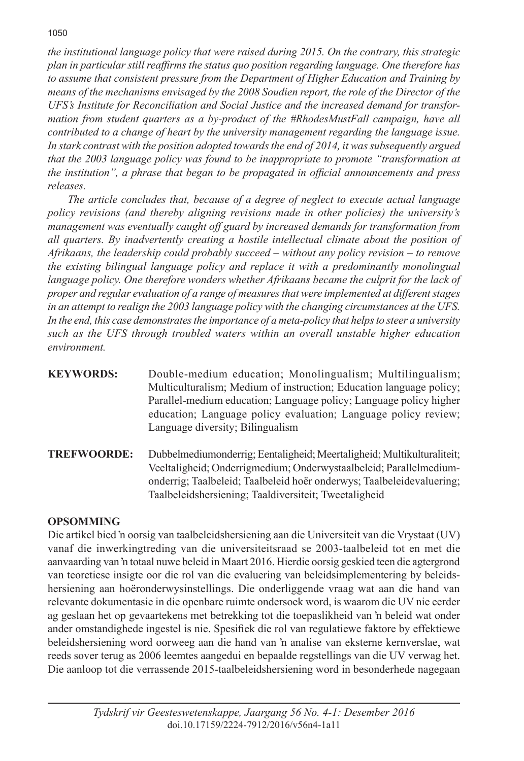*the institutional language policy that were raised during 2015. On the contrary, this strategic plan in particular still reaffirms the status quo position regarding language. One therefore has to assume that consistent pressure from the Department of Higher Education and Training by means of the mechanisms envisaged by the 2008 Soudien report, the role of the Director of the UFS's Institute for Reconciliation and Social Justice and the increased demand for transformation from student quarters as a by-product of the #RhodesMustFall campaign, have all contributed to a change of heart by the university management regarding the language issue. In stark contrast with the position adopted towards the end of 2014, it was subsequently argued that the 2003 language policy was found to be inappropriate to promote "transformation at the institution", a phrase that began to be propagated in official announcements and press releases.* 

*The article concludes that, because of a degree of neglect to execute actual language policy revisions (and thereby aligning revisions made in other policies) the university's management was eventually caught off guard by increased demands for transformation from all quarters. By inadvertently creating a hostile intellectual climate about the position of Afrikaans, the leadership could probably succeed – without any policy revision – to remove the existing bilingual language policy and replace it with a predominantly monolingual*  language policy. One therefore wonders whether Afrikaans became the culprit for the lack of *proper and regular evaluation of a range of measures that were implemented at different stages in an attempt to realign the 2003 language policy with the changing circumstances at the UFS. In the end, this case demonstrates the importance of a meta-policy that helps to steer a university such as the UFS through troubled waters within an overall unstable higher education environment.*

- **KEYWORDS:** Double-medium education; Monolingualism; Multilingualism; Multiculturalism; Medium of instruction; Education language policy; Parallel-medium education; Language policy; Language policy higher education; Language policy evaluation; Language policy review; Language diversity; Bilingualism
- **TREFWOORDE:** Dubbelmediumonderrig; Eentaligheid; Meertaligheid; Multikulturaliteit; Veeltaligheid; Onderrigmedium; Onderwystaalbeleid; Parallelmediumonderrig; Taalbeleid; Taalbeleid hoër onderwys; Taalbeleidevaluering; Taalbeleidshersiening; Taaldiversiteit; Tweetaligheid

# **OPSOMMING**

Die artikel bied 'n oorsig van taalbeleidshersiening aan die Universiteit van die Vrystaat (UV) vanaf die inwerkingtreding van die universiteitsraad se 2003-taalbeleid tot en met die aanvaarding van 'n totaal nuwe beleid in Maart 2016. Hierdie oorsig geskied teen die agtergrond van teoretiese insigte oor die rol van die evaluering van beleidsimplementering by beleidshersiening aan hoëronderwysinstellings. Die onderliggende vraag wat aan die hand van relevante dokumentasie in die openbare ruimte ondersoek word, is waarom die UV nie eerder ag geslaan het op gevaartekens met betrekking tot die toepaslikheid van 'n beleid wat onder ander omstandighede ingestel is nie. Spesifiek die rol van regulatiewe faktore by effektiewe beleidshersiening word oorweeg aan die hand van 'n analise van eksterne kernverslae, wat reeds sover terug as 2006 leemtes aangedui en bepaalde regstellings van die UV verwag het. Die aanloop tot die verrassende 2015-taalbeleidshersiening word in besonderhede nagegaan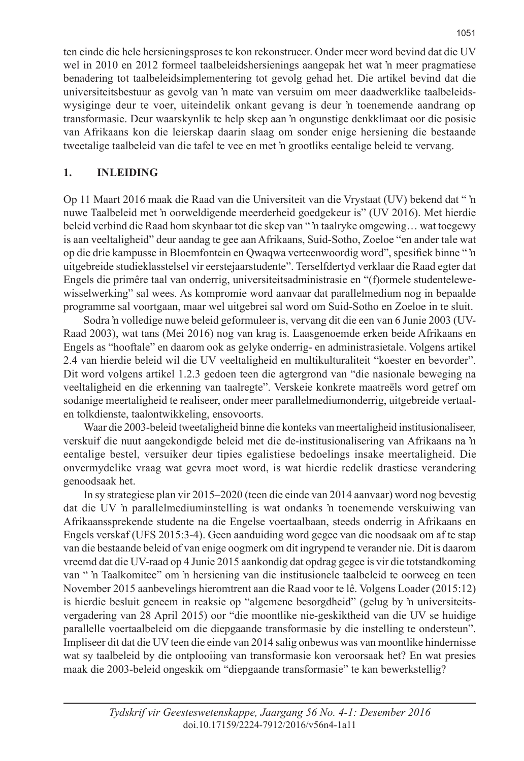ten einde die hele hersieningsproses te kon rekonstrueer. Onder meer word bevind dat die UV wel in 2010 en 2012 formeel taalbeleidshersienings aangepak het wat 'n meer pragmatiese benadering tot taalbeleidsimplementering tot gevolg gehad het. Die artikel bevind dat die universiteitsbestuur as gevolg van 'n mate van versuim om meer daadwerklike taalbeleidswysiginge deur te voer, uiteindelik onkant gevang is deur 'n toenemende aandrang op transformasie. Deur waarskynlik te help skep aan 'n ongunstige denkklimaat oor die posisie van Afrikaans kon die leierskap daarin slaag om sonder enige hersiening die bestaande tweetalige taalbeleid van die tafel te vee en met 'n grootliks eentalige beleid te vervang.

#### **1. INLEIDING**

Op 11 Maart 2016 maak die Raad van die Universiteit van die Vrystaat (UV) bekend dat " 'n nuwe Taalbeleid met 'n oorweldigende meerderheid goedgekeur is" (UV 2016). Met hierdie beleid verbind die Raad hom skynbaar tot die skep van " 'n taalryke omgewing… wat toegewy is aan veeltaligheid" deur aandag te gee aan Afrikaans, Suid-Sotho, Zoeloe "en ander tale wat op die drie kampusse in Bloemfontein en Qwaqwa verteenwoordig word", spesifiek binne " 'n uitgebreide studieklasstelsel vir eerstejaarstudente". Terselfdertyd verklaar die Raad egter dat Engels die primêre taal van onderrig, universiteitsadministrasie en "(f)ormele studentelewewisselwerking" sal wees. As kompromie word aanvaar dat parallelmedium nog in bepaalde programme sal voortgaan, maar wel uitgebrei sal word om Suid-Sotho en Zoeloe in te sluit.

Sodra 'n volledige nuwe beleid geformuleer is, vervang dit die een van 6 Junie 2003 (UV-Raad 2003), wat tans (Mei 2016) nog van krag is. Laasgenoemde erken beide Afrikaans en Engels as "hooftale" en daarom ook as gelyke onderrig- en administrasietale. Volgens artikel 2.4 van hierdie beleid wil die UV veeltaligheid en multikulturaliteit "koester en bevorder". Dit word volgens artikel 1.2.3 gedoen teen die agtergrond van "die nasionale beweging na veeltaligheid en die erkenning van taalregte". Verskeie konkrete maatreëls word getref om sodanige meertaligheid te realiseer, onder meer parallelmediumonderrig, uitgebreide vertaalen tolkdienste, taalontwikkeling, ensovoorts.

Waar die 2003-beleid tweetaligheid binne die konteks van meertaligheid institusionaliseer, verskuif die nuut aangekondigde beleid met die de-institusionalisering van Afrikaans na 'n eentalige bestel, versuiker deur tipies egalistiese bedoelings insake meertaligheid. Die onvermydelike vraag wat gevra moet word, is wat hierdie redelik drastiese verandering genoodsaak het.

In sy strategiese plan vir 2015–2020 (teen die einde van 2014 aanvaar) word nog bevestig dat die UV 'n parallelmediuminstelling is wat ondanks 'n toenemende verskuiwing van Afrikaanssprekende studente na die Engelse voertaalbaan, steeds onderrig in Afrikaans en Engels verskaf (UFS 2015:3-4). Geen aanduiding word gegee van die noodsaak om af te stap van die bestaande beleid of van enige oogmerk om dit ingrypend te verander nie. Dit is daarom vreemd dat die UV-raad op 4 Junie 2015 aankondig dat opdrag gegee is vir die totstandkoming van " 'n Taalkomitee" om 'n hersiening van die institusionele taalbeleid te oorweeg en teen November 2015 aanbevelings hieromtrent aan die Raad voor te lê. Volgens Loader (2015:12) is hierdie besluit geneem in reaksie op "algemene besorgdheid" (gelug by 'n universiteitsvergadering van 28 April 2015) oor "die moontlike nie-geskiktheid van die UV se huidige parallelle voertaalbeleid om die diepgaande transformasie by die instelling te ondersteun". Impliseer dit dat die UV teen die einde van 2014 salig onbewus was van moontlike hindernisse wat sy taalbeleid by die ontplooiing van transformasie kon veroorsaak het? En wat presies maak die 2003-beleid ongeskik om "diepgaande transformasie" te kan bewerkstellig?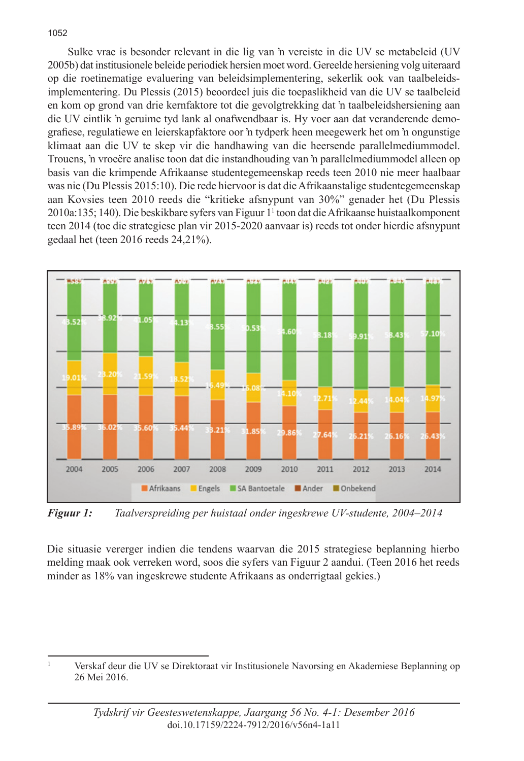#### Sulke vrae is besonder relevant in die lig van 'n vereiste in die UV se metabeleid (UV 2005b) dat institusionele beleide periodiek hersien moet word. Gereelde hersiening volg uiteraard op die roetinematige evaluering van beleidsimplementering, sekerlik ook van taalbeleidsimplementering. Du Plessis (2015) beoordeel juis die toepaslikheid van die UV se taalbeleid en kom op grond van drie kernfaktore tot die gevolgtrekking dat 'n taalbeleidshersiening aan die UV eintlik 'n geruime tyd lank al onafwendbaar is. Hy voer aan dat veranderende demografiese, regulatiewe en leierskapfaktore oor 'n tydperk heen meegewerk het om 'n ongunstige klimaat aan die UV te skep vir die handhawing van die heersende parallelmediummodel. Trouens, 'n vroeëre analise toon dat die instandhouding van 'n parallelmediummodel alleen op basis van die krimpende Afrikaanse studentegemeenskap reeds teen 2010 nie meer haalbaar was nie (Du Plessis 2015:10). Die rede hiervoor is dat die Afrikaanstalige studentegemeenskap aan Kovsies teen 2010 reeds die "kritieke afsnypunt van 30%" genader het (Du Plessis 2010a:135; 140). Die beskikbare syfers van Figuur 11 toon dat die Afrikaanse huistaalkomponent teen 2014 (toe die strategiese plan vir 2015-2020 aanvaar is) reeds tot onder hierdie afsnypunt gedaal het (teen 2016 reeds 24,21%).



*Figuur 1: Taalverspreiding per huistaal onder ingeskrewe UV-studente, 2004–2014* 

Die situasie vererger indien die tendens waarvan die 2015 strategiese beplanning hierbo melding maak ook verreken word, soos die syfers van Figuur 2 aandui. (Teen 2016 het reeds minder as 18% van ingeskrewe studente Afrikaans as onderrigtaal gekies.)

1052

<sup>1</sup> Verskaf deur die UV se Direktoraat vir Institusionele Navorsing en Akademiese Beplanning op 26 Mei 2016.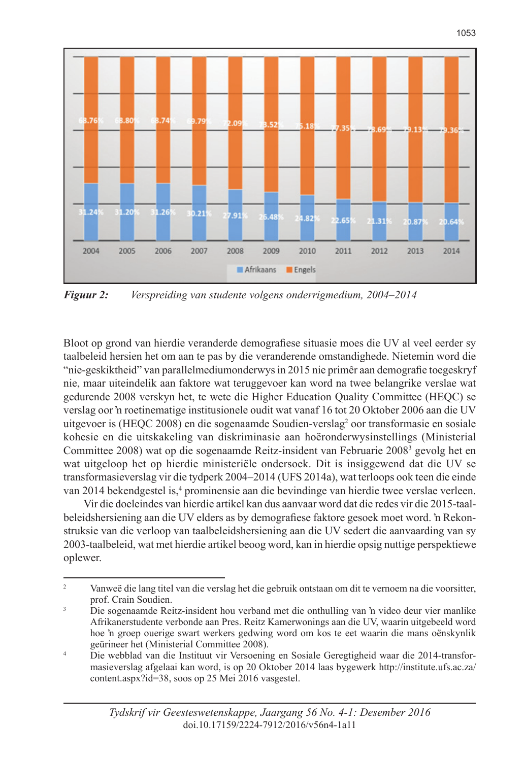

*Figuur 2: Verspreiding van studente volgens onderrigmedium, 2004–2014* 

Bloot op grond van hierdie veranderde demografiese situasie moes die UV al veel eerder sy taalbeleid hersien het om aan te pas by die veranderende omstandighede. Nietemin word die "nie-geskiktheid" van parallelmediumonderwys in 2015 nie primêr aan demografie toegeskryf nie, maar uiteindelik aan faktore wat teruggevoer kan word na twee belangrike verslae wat gedurende 2008 verskyn het, te wete die Higher Education Quality Committee (HEQC) se verslag oor 'n roetinematige institusionele oudit wat vanaf 16 tot 20 Oktober 2006 aan die UV uitgevoer is (HEQC 2008) en die sogenaamde Soudien-verslag<sup>2</sup> oor transformasie en sosiale kohesie en die uitskakeling van diskriminasie aan hoëronderwysinstellings (Ministerial Committee 2008) wat op die sogenaamde Reitz-insident van Februarie 2008<sup>3</sup> gevolg het en wat uitgeloop het op hierdie ministeriële ondersoek. Dit is insiggewend dat die UV se transformasieverslag vir die tydperk 2004–2014 (UFS 2014a), wat terloops ook teen die einde van 2014 bekendgestel is,<sup>4</sup> prominensie aan die bevindinge van hierdie twee verslae verleen.

Vir die doeleindes van hierdie artikel kan dus aanvaar word dat die redes vir die 2015-taalbeleidshersiening aan die UV elders as by demografiese faktore gesoek moet word. 'n Rekonstruksie van die verloop van taalbeleidshersiening aan die UV sedert die aanvaarding van sy 2003-taalbeleid, wat met hierdie artikel beoog word, kan in hierdie opsig nuttige perspektiewe oplewer.

<sup>2</sup> Vanweë die lang titel van die verslag het die gebruik ontstaan om dit te vernoem na die voorsitter, prof. Crain Soudien.

<sup>3</sup> Die sogenaamde Reitz-insident hou verband met die onthulling van 'n video deur vier manlike Afrikanerstudente verbonde aan Pres. Reitz Kamerwonings aan die UV, waarin uitgebeeld word hoe 'n groep ouerige swart werkers gedwing word om kos te eet waarin die mans oënskynlik geürineer het (Ministerial Committee 2008).

<sup>&</sup>lt;sup>4</sup> Die webblad van die Instituut vir Versoening en Sosiale Geregtigheid waar die 2014-transformasieverslag afgelaai kan word, is op 20 Oktober 2014 laas bygewerk http://institute.ufs.ac.za/ content.aspx?id=38, soos op 25 Mei 2016 vasgestel.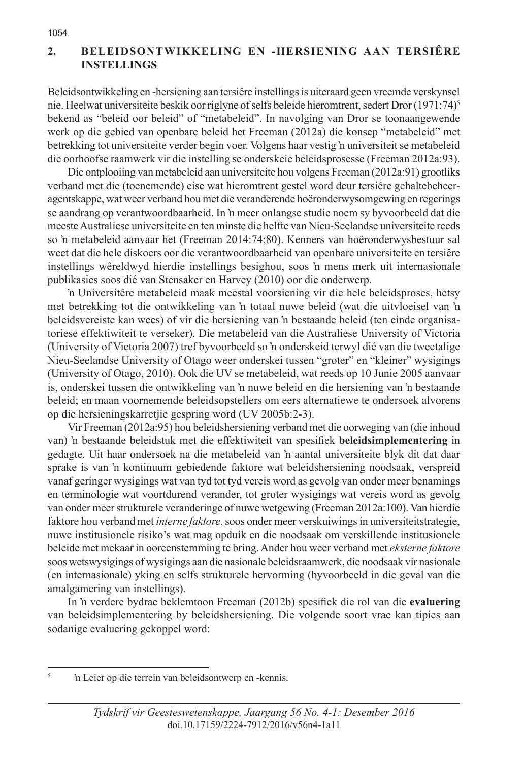# **2. BELEIDSONTWIKKELING EN -HERSIENING AAN TERSIÊRE INSTELLINGS**

Beleidsontwikkeling en -hersiening aan tersiêre instellings is uiteraard geen vreemde verskynsel nie. Heelwat universiteite beskik oor riglyne of selfs beleide hieromtrent, sedert Dror (1971:74)5 bekend as "beleid oor beleid" of "metabeleid". In navolging van Dror se toonaangewende werk op die gebied van openbare beleid het Freeman (2012a) die konsep "metabeleid" met betrekking tot universiteite verder begin voer. Volgens haar vestig 'n universiteit se metabeleid die oorhoofse raamwerk vir die instelling se onderskeie beleidsprosesse (Freeman 2012a:93).

Die ontplooiing van metabeleid aan universiteite hou volgens Freeman (2012a:91) grootliks verband met die (toenemende) eise wat hieromtrent gestel word deur tersiêre gehaltebeheeragentskappe, wat weer verband hou met die veranderende hoëronderwysomgewing en regerings se aandrang op verantwoordbaarheid. In 'n meer onlangse studie noem sy byvoorbeeld dat die meeste Australiese universiteite en ten minste die helfte van Nieu-Seelandse universiteite reeds so 'n metabeleid aanvaar het (Freeman 2014:74;80). Kenners van hoëronderwysbestuur sal weet dat die hele diskoers oor die verantwoordbaarheid van openbare universiteite en tersiêre instellings wêreldwyd hierdie instellings besighou, soos 'n mens merk uit internasionale publikasies soos dié van Stensaker en Harvey (2010) oor die onderwerp.

'n Universitêre metabeleid maak meestal voorsiening vir die hele beleidsproses, hetsy met betrekking tot die ontwikkeling van 'n totaal nuwe beleid (wat die uitvloeisel van 'n beleidsvereiste kan wees) of vir die hersiening van 'n bestaande beleid (ten einde organisatoriese effektiwiteit te verseker). Die metabeleid van die Australiese University of Victoria (University of Victoria 2007) tref byvoorbeeld so 'n onderskeid terwyl dié van die tweetalige Nieu-Seelandse University of Otago weer onderskei tussen "groter" en "kleiner" wysigings (University of Otago, 2010). Ook die UV se metabeleid, wat reeds op 10 Junie 2005 aanvaar is, onderskei tussen die ontwikkeling van 'n nuwe beleid en die hersiening van 'n bestaande beleid; en maan voornemende beleidsopstellers om eers alternatiewe te ondersoek alvorens op die hersieningskarretjie gespring word (UV 2005b:2-3).

Vir Freeman (2012a:95) hou beleidshersiening verband met die oorweging van (die inhoud van) 'n bestaande beleidstuk met die effektiwiteit van spesifiek **beleidsimplementering** in gedagte. Uit haar ondersoek na die metabeleid van 'n aantal universiteite blyk dit dat daar sprake is van 'n kontinuum gebiedende faktore wat beleidshersiening noodsaak, verspreid vanaf geringer wysigings wat van tyd tot tyd vereis word as gevolg van onder meer benamings en terminologie wat voortdurend verander, tot groter wysigings wat vereis word as gevolg van onder meer strukturele veranderinge of nuwe wetgewing (Freeman 2012a:100). Van hierdie faktore hou verband met *interne faktore*, soos onder meer verskuiwings in universiteitstrategie, nuwe institusionele risiko's wat mag opduik en die noodsaak om verskillende institusionele beleide met mekaar in ooreenstemming te bring. Ander hou weer verband met *eksterne faktore* soos wetswysigings of wysigings aan die nasionale beleidsraamwerk, die noodsaak vir nasionale (en internasionale) yking en selfs strukturele hervorming (byvoorbeeld in die geval van die amalgamering van instellings).

In 'n verdere bydrae beklemtoon Freeman (2012b) spesifiek die rol van die **evaluering** van beleidsimplementering by beleidshersiening. Die volgende soort vrae kan tipies aan sodanige evaluering gekoppel word:

<sup>&</sup>lt;sup>5</sup> 'n Leier op die terrein van beleidsontwerp en -kennis.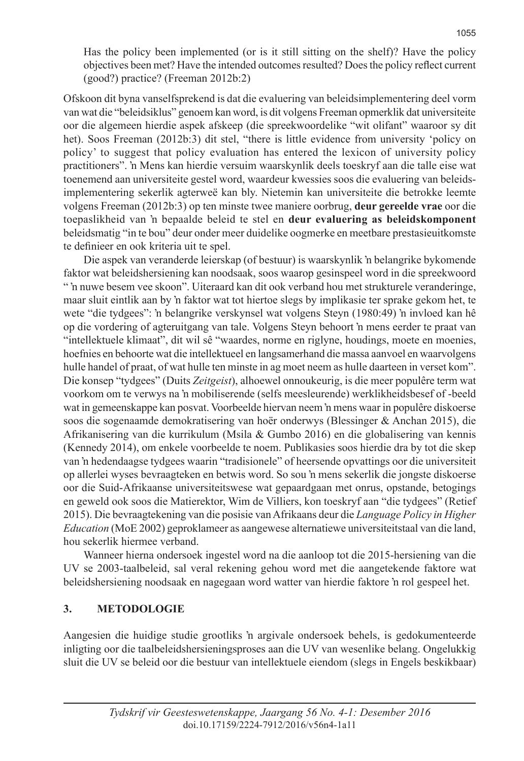Has the policy been implemented (or is it still sitting on the shelf)? Have the policy objectives been met? Have the intended outcomes resulted? Does the policy reflect current (good?) practice? (Freeman 2012b:2)

Ofskoon dit byna vanselfsprekend is dat die evaluering van beleidsimplementering deel vorm van wat die "beleidsiklus" genoem kan word, is dit volgens Freeman opmerklik dat universiteite oor die algemeen hierdie aspek afskeep (die spreekwoordelike "wit olifant" waaroor sy dit het). Soos Freeman (2012b:3) dit stel, "there is little evidence from university 'policy on policy' to suggest that policy evaluation has entered the lexicon of university policy practitioners". 'n Mens kan hierdie versuim waarskynlik deels toeskryf aan die talle eise wat toenemend aan universiteite gestel word, waardeur kwessies soos die evaluering van beleidsimplementering sekerlik agterweë kan bly. Nietemin kan universiteite die betrokke leemte volgens Freeman (2012b:3) op ten minste twee maniere oorbrug, **deur gereelde vrae** oor die toepaslikheid van 'n bepaalde beleid te stel en **deur evaluering as beleidskomponent**  beleidsmatig "in te bou" deur onder meer duidelike oogmerke en meetbare prestasieuitkomste te definieer en ook kriteria uit te spel.

Die aspek van veranderde leierskap (of bestuur) is waarskynlik 'n belangrike bykomende faktor wat beleidshersiening kan noodsaak, soos waarop gesinspeel word in die spreekwoord " 'n nuwe besem vee skoon". Uiteraard kan dit ook verband hou met strukturele veranderinge, maar sluit eintlik aan by 'n faktor wat tot hiertoe slegs by implikasie ter sprake gekom het, te wete "die tydgees": 'n belangrike verskynsel wat volgens Steyn (1980:49) 'n invloed kan hê op die vordering of agteruitgang van tale. Volgens Steyn behoort 'n mens eerder te praat van "intellektuele klimaat", dit wil sê "waardes, norme en riglyne, houdings, moete en moenies, hoefnies en behoorte wat die intellektueel en langsamerhand die massa aanvoel en waarvolgens hulle handel of praat, of wat hulle ten minste in ag moet neem as hulle daarteen in verset kom". Die konsep "tydgees" (Duits *Zeitgeist*), alhoewel onnoukeurig, is die meer populêre term wat voorkom om te verwys na 'n mobiliserende (selfs meesleurende) werklikheidsbesef of -beeld wat in gemeenskappe kan posvat. Voorbeelde hiervan neem 'n mens waar in populêre diskoerse soos die sogenaamde demokratisering van hoër onderwys (Blessinger & Anchan 2015), die Afrikanisering van die kurrikulum (Msila & Gumbo 2016) en die globalisering van kennis (Kennedy 2014), om enkele voorbeelde te noem. Publikasies soos hierdie dra by tot die skep van 'n hedendaagse tydgees waarin "tradisionele" of heersende opvattings oor die universiteit op allerlei wyses bevraagteken en betwis word. So sou 'n mens sekerlik die jongste diskoerse oor die Suid-Afrikaanse universiteitswese wat gepaardgaan met onrus, opstande, betogings en geweld ook soos die Matierektor, Wim de Villiers, kon toeskryf aan "die tydgees" (Retief 2015). Die bevraagtekening van die posisie van Afrikaans deur die *Language Policy in Higher Education* (MoE 2002) geproklameer as aangewese alternatiewe universiteitstaal van die land, hou sekerlik hiermee verband.

Wanneer hierna ondersoek ingestel word na die aanloop tot die 2015-hersiening van die UV se 2003-taalbeleid, sal veral rekening gehou word met die aangetekende faktore wat beleidshersiening noodsaak en nagegaan word watter van hierdie faktore 'n rol gespeel het.

# **3. METODOLOGIE**

Aangesien die huidige studie grootliks 'n argivale ondersoek behels, is gedokumenteerde inligting oor die taalbeleidshersieningsproses aan die UV van wesenlike belang. Ongelukkig sluit die UV se beleid oor die bestuur van intellektuele eiendom (slegs in Engels beskikbaar)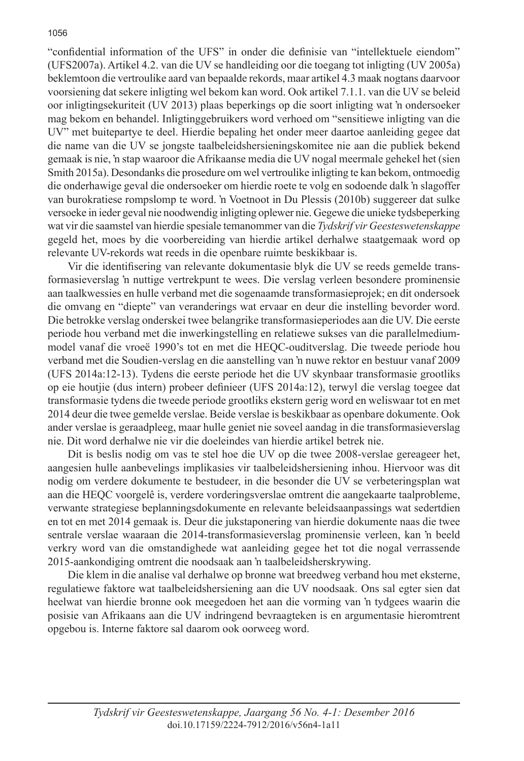"confidential information of the UFS" in onder die definisie van "intellektuele eiendom" (UFS2007a). Artikel 4.2. van die UV se handleiding oor die toegang tot inligting (UV 2005a) beklemtoon die vertroulike aard van bepaalde rekords, maar artikel 4.3 maak nogtans daarvoor voorsiening dat sekere inligting wel bekom kan word. Ook artikel 7.1.1. van die UV se beleid oor inligtingsekuriteit (UV 2013) plaas beperkings op die soort inligting wat 'n ondersoeker mag bekom en behandel. Inligtinggebruikers word verhoed om "sensitiewe inligting van die UV" met buitepartye te deel. Hierdie bepaling het onder meer daartoe aanleiding gegee dat die name van die UV se jongste taalbeleidshersieningskomitee nie aan die publiek bekend gemaak is nie, 'n stap waaroor die Afrikaanse media die UV nogal meermale gehekel het (sien Smith 2015a). Desondanks die prosedure om wel vertroulike inligting te kan bekom, ontmoedig die onderhawige geval die ondersoeker om hierdie roete te volg en sodoende dalk 'n slagoffer van burokratiese rompslomp te word. 'n Voetnoot in Du Plessis (2010b) suggereer dat sulke versoeke in ieder geval nie noodwendig inligting oplewer nie. Gegewe die unieke tydsbeperking wat vir die saamstel van hierdie spesiale temanommer van die *Tydskrif vir Geesteswetenskappe*  gegeld het, moes by die voorbereiding van hierdie artikel derhalwe staatgemaak word op relevante UV-rekords wat reeds in die openbare ruimte beskikbaar is.

Vir die identifisering van relevante dokumentasie blyk die UV se reeds gemelde transformasieverslag 'n nuttige vertrekpunt te wees. Die verslag verleen besondere prominensie aan taalkwessies en hulle verband met die sogenaamde transformasieprojek; en dit ondersoek die omvang en "diepte" van veranderings wat ervaar en deur die instelling bevorder word. Die betrokke verslag onderskei twee belangrike transformasieperiodes aan die UV. Die eerste periode hou verband met die inwerkingstelling en relatiewe sukses van die parallelmediummodel vanaf die vroeë 1990's tot en met die HEQC-ouditverslag. Die tweede periode hou verband met die Soudien-verslag en die aanstelling van 'n nuwe rektor en bestuur vanaf 2009 (UFS 2014a:12-13). Tydens die eerste periode het die UV skynbaar transformasie grootliks op eie houtjie (dus intern) probeer definieer (UFS 2014a:12), terwyl die verslag toegee dat transformasie tydens die tweede periode grootliks ekstern gerig word en weliswaar tot en met 2014 deur die twee gemelde verslae. Beide verslae is beskikbaar as openbare dokumente. Ook ander verslae is geraadpleeg, maar hulle geniet nie soveel aandag in die transformasieverslag nie. Dit word derhalwe nie vir die doeleindes van hierdie artikel betrek nie.

Dit is beslis nodig om vas te stel hoe die UV op die twee 2008-verslae gereageer het, aangesien hulle aanbevelings implikasies vir taalbeleidshersiening inhou. Hiervoor was dit nodig om verdere dokumente te bestudeer, in die besonder die UV se verbeteringsplan wat aan die HEQC voorgelê is, verdere vorderingsverslae omtrent die aangekaarte taalprobleme, verwante strategiese beplanningsdokumente en relevante beleidsaanpassings wat sedertdien en tot en met 2014 gemaak is. Deur die jukstaponering van hierdie dokumente naas die twee sentrale verslae waaraan die 2014-transformasieverslag prominensie verleen, kan 'n beeld verkry word van die omstandighede wat aanleiding gegee het tot die nogal verrassende 2015-aankondiging omtrent die noodsaak aan 'n taalbeleidsherskrywing.

Die klem in die analise val derhalwe op bronne wat breedweg verband hou met eksterne, regulatiewe faktore wat taalbeleidshersiening aan die UV noodsaak. Ons sal egter sien dat heelwat van hierdie bronne ook meegedoen het aan die vorming van 'n tydgees waarin die posisie van Afrikaans aan die UV indringend bevraagteken is en argumentasie hieromtrent opgebou is. Interne faktore sal daarom ook oorweeg word.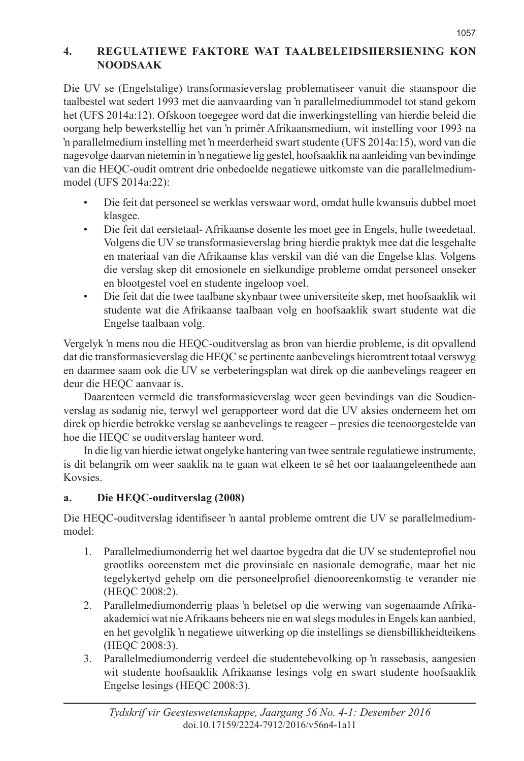# **4. REGULATIEWE FAKTORE WAT TAALBELEIDSHERSIENING KON NOODSAAK**

Die UV se (Engelstalige) transformasieverslag problematiseer vanuit die staanspoor die taalbestel wat sedert 1993 met die aanvaarding van 'n parallelmediummodel tot stand gekom het (UFS 2014a:12). Ofskoon toegegee word dat die inwerkingstelling van hierdie beleid die oorgang help bewerkstellig het van 'n primêr Afrikaansmedium, wit instelling voor 1993 na 'n parallelmedium instelling met 'n meerderheid swart studente (UFS 2014a:15), word van die nagevolge daarvan nietemin in 'n negatiewe lig gestel, hoofsaaklik na aanleiding van bevindinge van die HEQC-oudit omtrent drie onbedoelde negatiewe uitkomste van die parallelmediummodel (UFS 2014a:22):

- Die feit dat personeel se werklas verswaar word, omdat hulle kwansuis dubbel moet klasgee.
- Die feit dat eerstetaal- Afrikaanse dosente les moet gee in Engels, hulle tweedetaal. Volgens die UV se transformasieverslag bring hierdie praktyk mee dat die lesgehalte en materiaal van die Afrikaanse klas verskil van dié van die Engelse klas. Volgens die verslag skep dit emosionele en sielkundige probleme omdat personeel onseker en blootgestel voel en studente ingeloop voel.
- Die feit dat die twee taalbane skynbaar twee universiteite skep, met hoofsaaklik wit studente wat die Afrikaanse taalbaan volg en hoofsaaklik swart studente wat die Engelse taalbaan volg.

Vergelyk 'n mens nou die HEQC-ouditverslag as bron van hierdie probleme, is dit opvallend dat die transformasieverslag die HEQC se pertinente aanbevelings hieromtrent totaal verswyg en daarmee saam ook die UV se verbeteringsplan wat direk op die aanbevelings reageer en deur die HEQC aanvaar is.

Daarenteen vermeld die transformasieverslag weer geen bevindings van die Soudienverslag as sodanig nie, terwyl wel gerapporteer word dat die UV aksies onderneem het om direk op hierdie betrokke verslag se aanbevelings te reageer – presies die teenoorgestelde van hoe die HEQC se ouditverslag hanteer word.

In die lig van hierdie ietwat ongelyke hantering van twee sentrale regulatiewe instrumente, is dit belangrik om weer saaklik na te gaan wat elkeen te sê het oor taalaangeleenthede aan Kovsies.

# **a. Die HEQC-ouditverslag (2008)**

Die HEQC-ouditverslag identifiseer 'n aantal probleme omtrent die UV se parallelmediummodel:

- 1. Parallelmediumonderrig het wel daartoe bygedra dat die UV se studenteprofiel nou grootliks ooreenstem met die provinsiale en nasionale demografie, maar het nie tegelykertyd gehelp om die personeelprofiel dienooreenkomstig te verander nie (HEQC 2008:2).
- 2. Parallelmediumonderrig plaas 'n beletsel op die werwing van sogenaamde Afrikaakademici wat nie Afrikaans beheers nie en wat slegs modules in Engels kan aanbied, en het gevolglik 'n negatiewe uitwerking op die instellings se diensbillikheidteikens (HEQC 2008:3).
- 3. Parallelmediumonderrig verdeel die studentebevolking op 'n rassebasis, aangesien wit studente hoofsaaklik Afrikaanse lesings volg en swart studente hoofsaaklik Engelse lesings (HEQC 2008:3).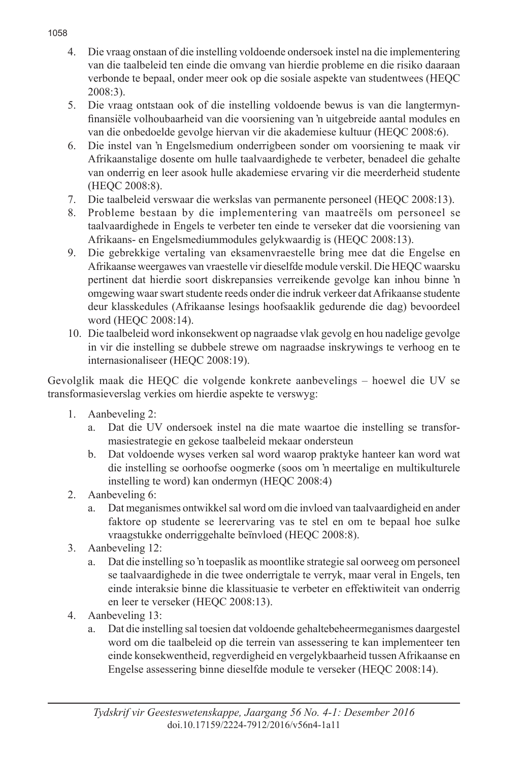- 4. Die vraag onstaan of die instelling voldoende ondersoek instel na die implementering van die taalbeleid ten einde die omvang van hierdie probleme en die risiko daaraan verbonde te bepaal, onder meer ook op die sosiale aspekte van studentwees (HEQC 2008:3).
- 5. Die vraag ontstaan ook of die instelling voldoende bewus is van die langtermynfinansiële volhoubaarheid van die voorsiening van 'n uitgebreide aantal modules en van die onbedoelde gevolge hiervan vir die akademiese kultuur (HEQC 2008:6).
- 6. Die instel van 'n Engelsmedium onderrigbeen sonder om voorsiening te maak vir Afrikaanstalige dosente om hulle taalvaardighede te verbeter, benadeel die gehalte van onderrig en leer asook hulle akademiese ervaring vir die meerderheid studente (HEQC 2008:8).
- 7. Die taalbeleid verswaar die werkslas van permanente personeel (HEQC 2008:13).
- 8. Probleme bestaan by die implementering van maatreëls om personeel se taalvaardighede in Engels te verbeter ten einde te verseker dat die voorsiening van Afrikaans- en Engelsmediummodules gelykwaardig is (HEQC 2008:13).
- 9. Die gebrekkige vertaling van eksamenvraestelle bring mee dat die Engelse en Afrikaanse weergawes van vraestelle vir dieselfde module verskil. Die HEQC waarsku pertinent dat hierdie soort diskrepansies verreikende gevolge kan inhou binne 'n omgewing waar swart studente reeds onder die indruk verkeer dat Afrikaanse studente deur klasskedules (Afrikaanse lesings hoofsaaklik gedurende die dag) bevoordeel word (HEQC 2008:14).
- 10. Die taalbeleid word inkonsekwent op nagraadse vlak gevolg en hou nadelige gevolge in vir die instelling se dubbele strewe om nagraadse inskrywings te verhoog en te internasionaliseer (HEQC 2008:19).

Gevolglik maak die HEQC die volgende konkrete aanbevelings – hoewel die UV se transformasieverslag verkies om hierdie aspekte te verswyg:

- 1. Aanbeveling 2:
	- a. Dat die UV ondersoek instel na die mate waartoe die instelling se transformasiestrategie en gekose taalbeleid mekaar ondersteun
	- b. Dat voldoende wyses verken sal word waarop praktyke hanteer kan word wat die instelling se oorhoofse oogmerke (soos om 'n meertalige en multikulturele instelling te word) kan ondermyn (HEQC 2008:4)
- 2. Aanbeveling 6:
	- a. Dat meganismes ontwikkel sal word om die invloed van taalvaardigheid en ander faktore op studente se leerervaring vas te stel en om te bepaal hoe sulke vraagstukke onderriggehalte beïnvloed (HEQC 2008:8).
- 3. Aanbeveling 12:
	- a. Dat die instelling so 'n toepaslik as moontlike strategie sal oorweeg om personeel se taalvaardighede in die twee onderrigtale te verryk, maar veral in Engels, ten einde interaksie binne die klassituasie te verbeter en effektiwiteit van onderrig en leer te verseker (HEQC 2008:13).
- 4. Aanbeveling 13:
	- a. Dat die instelling sal toesien dat voldoende gehaltebeheermeganismes daargestel word om die taalbeleid op die terrein van assessering te kan implementeer ten einde konsekwentheid, regverdigheid en vergelykbaarheid tussen Afrikaanse en Engelse assessering binne dieselfde module te verseker (HEQC 2008:14).

#### 1058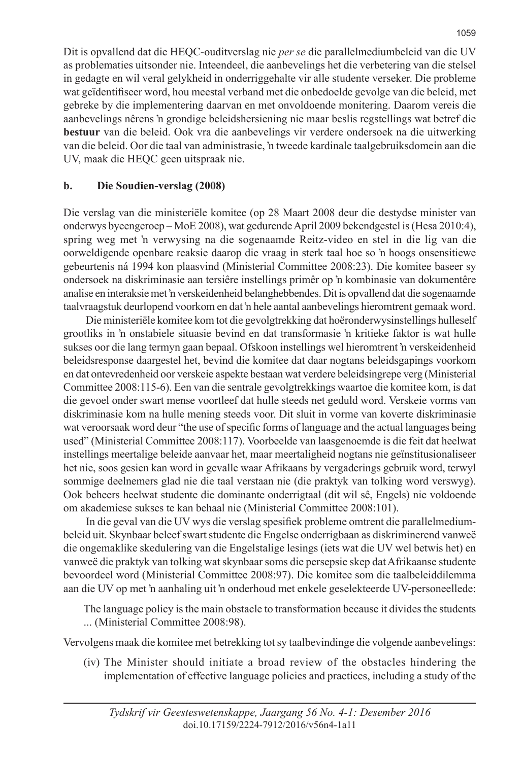Dit is opvallend dat die HEQC-ouditverslag nie *per se* die parallelmediumbeleid van die UV as problematies uitsonder nie. Inteendeel, die aanbevelings het die verbetering van die stelsel in gedagte en wil veral gelykheid in onderriggehalte vir alle studente verseker. Die probleme wat geïdentifiseer word, hou meestal verband met die onbedoelde gevolge van die beleid, met gebreke by die implementering daarvan en met onvoldoende monitering. Daarom vereis die aanbevelings nêrens 'n grondige beleidshersiening nie maar beslis regstellings wat betref die **bestuur** van die beleid. Ook vra die aanbevelings vir verdere ondersoek na die uitwerking van die beleid. Oor die taal van administrasie, 'n tweede kardinale taalgebruiksdomein aan die UV, maak die HEQC geen uitspraak nie.

## **b. Die Soudien-verslag (2008)**

Die verslag van die ministeriële komitee (op 28 Maart 2008 deur die destydse minister van onderwys byeengeroep – MoE 2008), wat gedurende April 2009 bekendgestel is (Hesa 2010:4), spring weg met 'n verwysing na die sogenaamde Reitz-video en stel in die lig van die oorweldigende openbare reaksie daarop die vraag in sterk taal hoe so 'n hoogs onsensitiewe gebeurtenis ná 1994 kon plaasvind (Ministerial Committee 2008:23). Die komitee baseer sy ondersoek na diskriminasie aan tersiêre instellings primêr op 'n kombinasie van dokumentêre analise en interaksie met 'n verskeidenheid belanghebbendes. Dit is opvallend dat die sogenaamde taalvraagstuk deurlopend voorkom en dat 'n hele aantal aanbevelings hieromtrent gemaak word.

 Die ministeriële komitee kom tot die gevolgtrekking dat hoëronderwysinstellings hulleself grootliks in 'n onstabiele situasie bevind en dat transformasie 'n kritieke faktor is wat hulle sukses oor die lang termyn gaan bepaal. Ofskoon instellings wel hieromtrent 'n verskeidenheid beleidsresponse daargestel het, bevind die komitee dat daar nogtans beleidsgapings voorkom en dat ontevredenheid oor verskeie aspekte bestaan wat verdere beleidsingrepe verg (Ministerial Committee 2008:115-6). Een van die sentrale gevolgtrekkings waartoe die komitee kom, is dat die gevoel onder swart mense voortleef dat hulle steeds net geduld word. Verskeie vorms van diskriminasie kom na hulle mening steeds voor. Dit sluit in vorme van koverte diskriminasie wat veroorsaak word deur "the use of specific forms of language and the actual languages being used" (Ministerial Committee 2008:117). Voorbeelde van laasgenoemde is die feit dat heelwat instellings meertalige beleide aanvaar het, maar meertaligheid nogtans nie geïnstitusionaliseer het nie, soos gesien kan word in gevalle waar Afrikaans by vergaderings gebruik word, terwyl sommige deelnemers glad nie die taal verstaan nie (die praktyk van tolking word verswyg). Ook beheers heelwat studente die dominante onderrigtaal (dit wil sê, Engels) nie voldoende om akademiese sukses te kan behaal nie (Ministerial Committee 2008:101).

 In die geval van die UV wys die verslag spesifiek probleme omtrent die parallelmediumbeleid uit. Skynbaar beleef swart studente die Engelse onderrigbaan as diskriminerend vanweë die ongemaklike skedulering van die Engelstalige lesings (iets wat die UV wel betwis het) en vanweë die praktyk van tolking wat skynbaar soms die persepsie skep dat Afrikaanse studente bevoordeel word (Ministerial Committee 2008:97). Die komitee som die taalbeleiddilemma aan die UV op met 'n aanhaling uit 'n onderhoud met enkele geselekteerde UV-personeellede:

The language policy is the main obstacle to transformation because it divides the students ... (Ministerial Committee 2008:98).

Vervolgens maak die komitee met betrekking tot sy taalbevindinge die volgende aanbevelings:

(iv) The Minister should initiate a broad review of the obstacles hindering the implementation of effective language policies and practices, including a study of the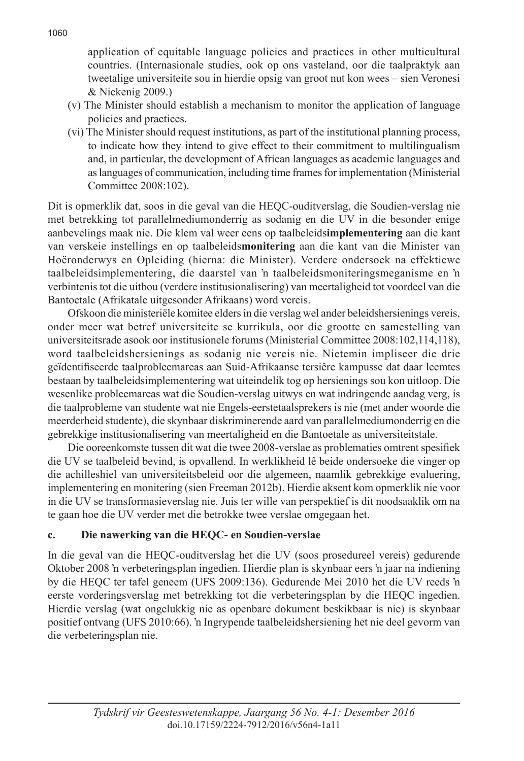application of equitable language policies and practices in other multicultural countries. (Internasionale studies, ook op ons vasteland, oor die taalpraktyk aan tweetalige universiteite sou in hierdie opsig van groot nut kon wees – sien Veronesi & Nickenig 2009.)

- (v) The Minister should establish a mechanism to monitor the application of language policies and practices.
- (vi) The Minister should request institutions, as part of the institutional planning process, to indicate how they intend to give effect to their commitment to multilingualism and, in particular, the development of African languages as academic languages and as languages of communication, including time frames for implementation (Ministerial Committee 2008:102).

Dit is opmerklik dat, soos in die geval van die HEQC-ouditverslag, die Soudien-verslag nie met betrekking tot parallelmediumonderrig as sodanig en die UV in die besonder enige aanbevelings maak nie. Die klem val weer eens op taalbeleids**implementering** aan die kant van verskeie instellings en op taalbeleids**monitering** aan die kant van die Minister van Hoëronderwys en Opleiding (hierna: die Minister). Verdere ondersoek na effektiewe taalbeleidsimplementering, die daarstel van 'n taalbeleidsmoniteringsmeganisme en 'n verbintenis tot die uitbou (verdere institusionalisering) van meertaligheid tot voordeel van die Bantoetale (Afrikatale uitgesonder Afrikaans) word vereis.

Ofskoon die ministeriële komitee elders in die verslag wel ander beleidshersienings vereis, onder meer wat betref universiteite se kurrikula, oor die grootte en samestelling van universiteitsrade asook oor institusionele forums (Ministerial Committee 2008:102,114,118), word taalbeleidshersienings as sodanig nie vereis nie. Nietemin impliseer die drie geïdentifiseerde taalprobleemareas aan Suid-Afrikaanse tersiêre kampusse dat daar leemtes bestaan by taalbeleidsimplementering wat uiteindelik tog op hersienings sou kon uitloop. Die wesenlike probleemareas wat die Soudien-verslag uitwys en wat indringende aandag verg, is die taalprobleme van studente wat nie Engels-eerstetaalsprekers is nie (met ander woorde die meerderheid studente), die skynbaar diskriminerende aard van parallelmediumonderrig en die gebrekkige institusionalisering van meertaligheid en die Bantoetale as universiteitstale.

Die ooreenkomste tussen dit wat die twee 2008-verslae as problematies omtrent spesifiek die UV se taalbeleid bevind, is opvallend. In werklikheid lê beide ondersoeke die vinger op die achilleshiel van universiteitsbeleid oor die algemeen, naamlik gebrekkige evaluering, implementering en monitering (sien Freeman 2012b). Hierdie aksent kom opmerklik nie voor in die UV se transformasieverslag nie. Juis ter wille van perspektief is dit noodsaaklik om na te gaan hoe die UV verder met die betrokke twee verslae omgegaan het.

# **c. Die nawerking van die HEQC- en Soudien-verslae**

In die geval van die HEQC-ouditverslag het die UV (soos prosedureel vereis) gedurende Oktober 2008 'n verbeteringsplan ingedien. Hierdie plan is skynbaar eers 'n jaar na indiening by die HEQC ter tafel geneem (UFS 2009:136). Gedurende Mei 2010 het die UV reeds 'n eerste vorderingsverslag met betrekking tot die verbeteringsplan by die HEQC ingedien. Hierdie verslag (wat ongelukkig nie as openbare dokument beskikbaar is nie) is skynbaar positief ontvang (UFS 2010:66). 'n Ingrypende taalbeleidshersiening het nie deel gevorm van die verbeteringsplan nie.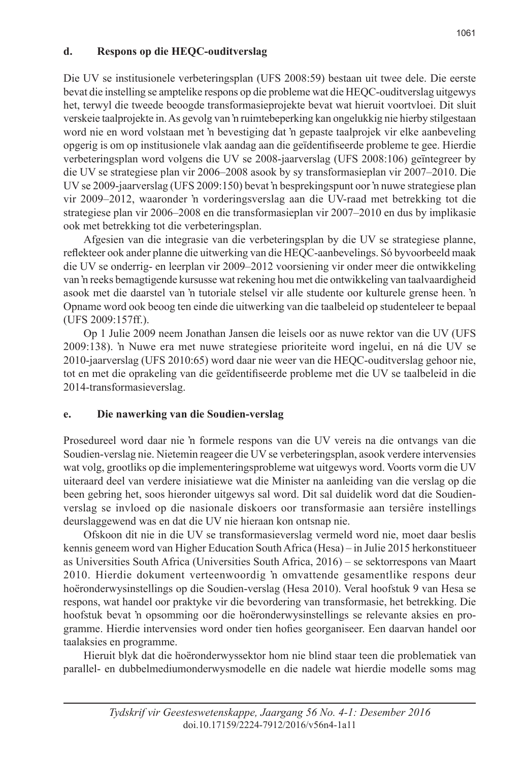#### **d. Respons op die HEQC-ouditverslag**

Die UV se institusionele verbeteringsplan (UFS 2008:59) bestaan uit twee dele. Die eerste bevat die instelling se amptelike respons op die probleme wat die HEQC-ouditverslag uitgewys het, terwyl die tweede beoogde transformasieprojekte bevat wat hieruit voortvloei. Dit sluit verskeie taalprojekte in. As gevolg van 'n ruimtebeperking kan ongelukkig nie hierby stilgestaan word nie en word volstaan met 'n bevestiging dat 'n gepaste taalprojek vir elke aanbeveling opgerig is om op institusionele vlak aandag aan die geïdentifiseerde probleme te gee. Hierdie verbeteringsplan word volgens die UV se 2008-jaarverslag (UFS 2008:106) geïntegreer by die UV se strategiese plan vir 2006–2008 asook by sy transformasieplan vir 2007–2010. Die UV se 2009-jaarverslag (UFS 2009:150) bevat 'n besprekingspunt oor 'n nuwe strategiese plan vir 2009–2012, waaronder 'n vorderingsverslag aan die UV-raad met betrekking tot die strategiese plan vir 2006–2008 en die transformasieplan vir 2007–2010 en dus by implikasie ook met betrekking tot die verbeteringsplan.

Afgesien van die integrasie van die verbeteringsplan by die UV se strategiese planne, reflekteer ook ander planne die uitwerking van die HEQC-aanbevelings. Só byvoorbeeld maak die UV se onderrig- en leerplan vir 2009–2012 voorsiening vir onder meer die ontwikkeling van 'n reeks bemagtigende kursusse wat rekening hou met die ontwikkeling van taalvaardigheid asook met die daarstel van 'n tutoriale stelsel vir alle studente oor kulturele grense heen. 'n Opname word ook beoog ten einde die uitwerking van die taalbeleid op studenteleer te bepaal (UFS 2009:157ff.).

Op 1 Julie 2009 neem Jonathan Jansen die leisels oor as nuwe rektor van die UV (UFS 2009:138). 'n Nuwe era met nuwe strategiese prioriteite word ingelui, en ná die UV se 2010-jaarverslag (UFS 2010:65) word daar nie weer van die HEQC-ouditverslag gehoor nie, tot en met die oprakeling van die geïdentifiseerde probleme met die UV se taalbeleid in die 2014-transformasieverslag.

# **e. Die nawerking van die Soudien-verslag**

Prosedureel word daar nie 'n formele respons van die UV vereis na die ontvangs van die Soudien-verslag nie. Nietemin reageer die UV se verbeteringsplan, asook verdere intervensies wat volg, grootliks op die implementeringsprobleme wat uitgewys word. Voorts vorm die UV uiteraard deel van verdere inisiatiewe wat die Minister na aanleiding van die verslag op die been gebring het, soos hieronder uitgewys sal word. Dit sal duidelik word dat die Soudienverslag se invloed op die nasionale diskoers oor transformasie aan tersiêre instellings deurslaggewend was en dat die UV nie hieraan kon ontsnap nie.

Ofskoon dit nie in die UV se transformasieverslag vermeld word nie, moet daar beslis kennis geneem word van Higher Education South Africa (Hesa) – in Julie 2015 herkonstitueer as Universities South Africa (Universities South Africa, 2016) – se sektorrespons van Maart 2010. Hierdie dokument verteenwoordig 'n omvattende gesamentlike respons deur hoëronderwysinstellings op die Soudien-verslag (Hesa 2010). Veral hoofstuk 9 van Hesa se respons, wat handel oor praktyke vir die bevordering van transformasie, het betrekking. Die hoofstuk bevat 'n opsomming oor die hoëronderwysinstellings se relevante aksies en programme. Hierdie intervensies word onder tien hofies georganiseer. Een daarvan handel oor taalaksies en programme.

Hieruit blyk dat die hoëronderwyssektor hom nie blind staar teen die problematiek van parallel- en dubbelmediumonderwysmodelle en die nadele wat hierdie modelle soms mag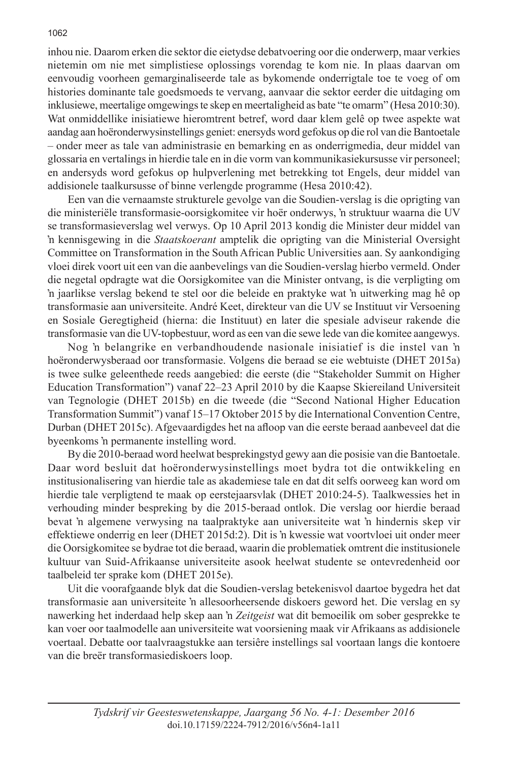inhou nie. Daarom erken die sektor die eietydse debatvoering oor die onderwerp, maar verkies nietemin om nie met simplistiese oplossings vorendag te kom nie. In plaas daarvan om eenvoudig voorheen gemarginaliseerde tale as bykomende onderrigtale toe te voeg of om histories dominante tale goedsmoeds te vervang, aanvaar die sektor eerder die uitdaging om inklusiewe, meertalige omgewings te skep en meertaligheid as bate "te omarm" (Hesa 2010:30). Wat onmiddellike inisiatiewe hieromtrent betref, word daar klem gelê op twee aspekte wat aandag aan hoëronderwysinstellings geniet: enersyds word gefokus op die rol van die Bantoetale – onder meer as tale van administrasie en bemarking en as onderrigmedia, deur middel van glossaria en vertalings in hierdie tale en in die vorm van kommunikasiekursusse vir personeel; en andersyds word gefokus op hulpverlening met betrekking tot Engels, deur middel van addisionele taalkursusse of binne verlengde programme (Hesa 2010:42).

Een van die vernaamste strukturele gevolge van die Soudien-verslag is die oprigting van die ministeriële transformasie-oorsigkomitee vir hoër onderwys, 'n struktuur waarna die UV se transformasieverslag wel verwys. Op 10 April 2013 kondig die Minister deur middel van 'n kennisgewing in die *Staatskoerant* amptelik die oprigting van die Ministerial Oversight Committee on Transformation in the South African Public Universities aan. Sy aankondiging vloei direk voort uit een van die aanbevelings van die Soudien-verslag hierbo vermeld. Onder die negetal opdragte wat die Oorsigkomitee van die Minister ontvang, is die verpligting om 'n jaarlikse verslag bekend te stel oor die beleide en praktyke wat 'n uitwerking mag hê op transformasie aan universiteite. André Keet, direkteur van die UV se Instituut vir Versoening en Sosiale Geregtigheid (hierna: die Instituut) en later die spesiale adviseur rakende die transformasie van die UV-topbestuur, word as een van die sewe lede van die komitee aangewys.

Nog 'n belangrike en verbandhoudende nasionale inisiatief is die instel van 'n hoëronderwysberaad oor transformasie. Volgens die beraad se eie webtuiste (DHET 2015a) is twee sulke geleenthede reeds aangebied: die eerste (die "Stakeholder Summit on Higher Education Transformation") vanaf 22–23 April 2010 by die Kaapse Skiereiland Universiteit van Tegnologie (DHET 2015b) en die tweede (die "Second National Higher Education Transformation Summit") vanaf 15–17 Oktober 2015 by die International Convention Centre, Durban (DHET 2015c). Afgevaardigdes het na afloop van die eerste beraad aanbeveel dat die byeenkoms 'n permanente instelling word.

By die 2010-beraad word heelwat besprekingstyd gewy aan die posisie van die Bantoetale. Daar word besluit dat hoëronderwysinstellings moet bydra tot die ontwikkeling en institusionalisering van hierdie tale as akademiese tale en dat dit selfs oorweeg kan word om hierdie tale verpligtend te maak op eerstejaarsvlak (DHET 2010:24-5). Taalkwessies het in verhouding minder bespreking by die 2015-beraad ontlok. Die verslag oor hierdie beraad bevat 'n algemene verwysing na taalpraktyke aan universiteite wat 'n hindernis skep vir effektiewe onderrig en leer (DHET 2015d:2). Dit is 'n kwessie wat voortvloei uit onder meer die Oorsigkomitee se bydrae tot die beraad, waarin die problematiek omtrent die institusionele kultuur van Suid-Afrikaanse universiteite asook heelwat studente se ontevredenheid oor taalbeleid ter sprake kom (DHET 2015e).

Uit die voorafgaande blyk dat die Soudien-verslag betekenisvol daartoe bygedra het dat transformasie aan universiteite 'n allesoorheersende diskoers geword het. Die verslag en sy nawerking het inderdaad help skep aan 'n *Zeitgeist* wat dit bemoeilik om sober gesprekke te kan voer oor taalmodelle aan universiteite wat voorsiening maak vir Afrikaans as addisionele voertaal. Debatte oor taalvraagstukke aan tersiêre instellings sal voortaan langs die kontoere van die breër transformasiediskoers loop.

#### 1062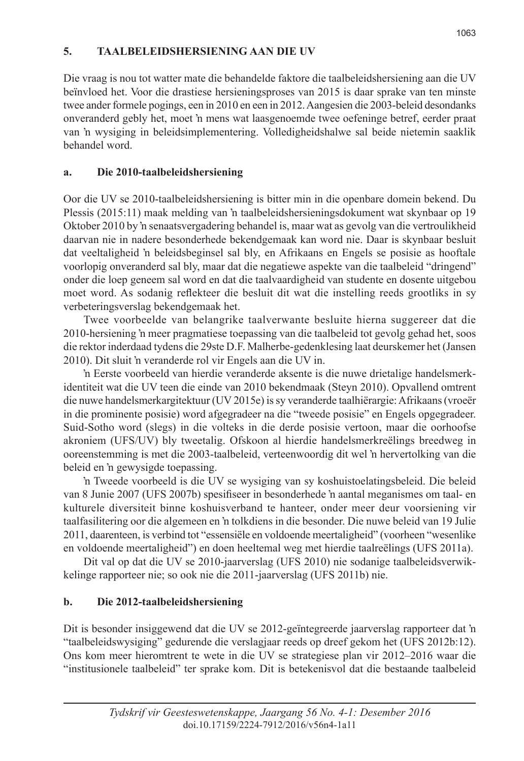# **5. TAALBELEIDSHERSIENING AAN DIE UV**

Die vraag is nou tot watter mate die behandelde faktore die taalbeleidshersiening aan die UV beïnvloed het. Voor die drastiese hersieningsproses van 2015 is daar sprake van ten minste twee ander formele pogings, een in 2010 en een in 2012. Aangesien die 2003-beleid desondanks onveranderd gebly het, moet 'n mens wat laasgenoemde twee oefeninge betref, eerder praat van 'n wysiging in beleidsimplementering. Volledigheidshalwe sal beide nietemin saaklik behandel word.

# **a. Die 2010-taalbeleidshersiening**

Oor die UV se 2010-taalbeleidshersiening is bitter min in die openbare domein bekend. Du Plessis (2015:11) maak melding van 'n taalbeleidshersieningsdokument wat skynbaar op 19 Oktober 2010 by 'n senaatsvergadering behandel is, maar wat as gevolg van die vertroulikheid daarvan nie in nadere besonderhede bekendgemaak kan word nie. Daar is skynbaar besluit dat veeltaligheid 'n beleidsbeginsel sal bly, en Afrikaans en Engels se posisie as hooftale voorlopig onveranderd sal bly, maar dat die negatiewe aspekte van die taalbeleid "dringend" onder die loep geneem sal word en dat die taalvaardigheid van studente en dosente uitgebou moet word. As sodanig reflekteer die besluit dit wat die instelling reeds grootliks in sy verbeteringsverslag bekendgemaak het.

Twee voorbeelde van belangrike taalverwante besluite hierna suggereer dat die 2010-hersiening 'n meer pragmatiese toepassing van die taalbeleid tot gevolg gehad het, soos die rektor inderdaad tydens die 29ste D.F. Malherbe-gedenklesing laat deurskemer het (Jansen 2010). Dit sluit 'n veranderde rol vir Engels aan die UV in.

'n Eerste voorbeeld van hierdie veranderde aksente is die nuwe drietalige handelsmerkidentiteit wat die UV teen die einde van 2010 bekendmaak (Steyn 2010). Opvallend omtrent die nuwe handelsmerkargitektuur (UV 2015e) is sy veranderde taalhiërargie: Afrikaans (vroeër in die prominente posisie) word afgegradeer na die "tweede posisie" en Engels opgegradeer. Suid-Sotho word (slegs) in die volteks in die derde posisie vertoon, maar die oorhoofse akroniem (UFS/UV) bly tweetalig. Ofskoon al hierdie handelsmerkreëlings breedweg in ooreenstemming is met die 2003-taalbeleid, verteenwoordig dit wel 'n hervertolking van die beleid en 'n gewysigde toepassing.

'n Tweede voorbeeld is die UV se wysiging van sy koshuistoelatingsbeleid. Die beleid van 8 Junie 2007 (UFS 2007b) spesifiseer in besonderhede 'n aantal meganismes om taal- en kulturele diversiteit binne koshuisverband te hanteer, onder meer deur voorsiening vir taalfasilitering oor die algemeen en 'n tolkdiens in die besonder. Die nuwe beleid van 19 Julie 2011, daarenteen, is verbind tot "essensiële en voldoende meertaligheid" (voorheen "wesenlike en voldoende meertaligheid") en doen heeltemal weg met hierdie taalreëlings (UFS 2011a).

Dit val op dat die UV se 2010-jaarverslag (UFS 2010) nie sodanige taalbeleidsverwikkelinge rapporteer nie; so ook nie die 2011-jaarverslag (UFS 2011b) nie.

# **b. Die 2012-taalbeleidshersiening**

Dit is besonder insiggewend dat die UV se 2012-geïntegreerde jaarverslag rapporteer dat 'n "taalbeleidswysiging" gedurende die verslagjaar reeds op dreef gekom het (UFS 2012b:12). Ons kom meer hieromtrent te wete in die UV se strategiese plan vir 2012–2016 waar die "institusionele taalbeleid" ter sprake kom. Dit is betekenisvol dat die bestaande taalbeleid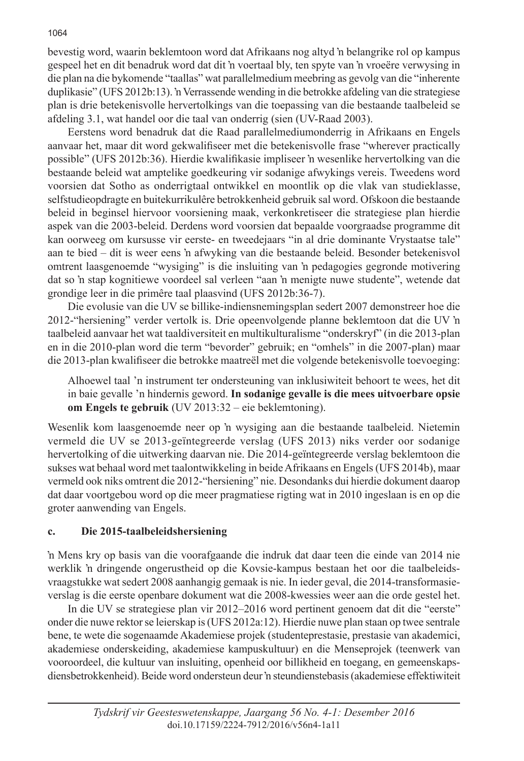bevestig word, waarin beklemtoon word dat Afrikaans nog altyd 'n belangrike rol op kampus gespeel het en dit benadruk word dat dit 'n voertaal bly, ten spyte van 'n vroeëre verwysing in die plan na die bykomende "taallas" wat parallelmedium meebring as gevolg van die "inherente duplikasie" (UFS 2012b:13). 'n Verrassende wending in die betrokke afdeling van die strategiese plan is drie betekenisvolle hervertolkings van die toepassing van die bestaande taalbeleid se afdeling 3.1, wat handel oor die taal van onderrig (sien (UV-Raad 2003).

Eerstens word benadruk dat die Raad parallelmediumonderrig in Afrikaans en Engels aanvaar het, maar dit word gekwalifiseer met die betekenisvolle frase "wherever practically possible" (UFS 2012b:36). Hierdie kwalifikasie impliseer 'n wesenlike hervertolking van die bestaande beleid wat amptelike goedkeuring vir sodanige afwykings vereis. Tweedens word voorsien dat Sotho as onderrigtaal ontwikkel en moontlik op die vlak van studieklasse, selfstudieopdragte en buitekurrikulêre betrokkenheid gebruik sal word. Ofskoon die bestaande beleid in beginsel hiervoor voorsiening maak, verkonkretiseer die strategiese plan hierdie aspek van die 2003-beleid. Derdens word voorsien dat bepaalde voorgraadse programme dit kan oorweeg om kursusse vir eerste- en tweedejaars "in al drie dominante Vrystaatse tale" aan te bied – dit is weer eens 'n afwyking van die bestaande beleid. Besonder betekenisvol omtrent laasgenoemde "wysiging" is die insluiting van 'n pedagogies gegronde motivering dat so 'n stap kognitiewe voordeel sal verleen "aan 'n menigte nuwe studente", wetende dat grondige leer in die primêre taal plaasvind (UFS 2012b:36-7).

Die evolusie van die UV se billike-indiensnemingsplan sedert 2007 demonstreer hoe die 2012-"hersiening" verder vertolk is. Drie opeenvolgende planne beklemtoon dat die UV 'n taalbeleid aanvaar het wat taaldiversiteit en multikulturalisme "onderskryf" (in die 2013-plan en in die 2010-plan word die term "bevorder" gebruik; en "omhels" in die 2007-plan) maar die 2013-plan kwalifiseer die betrokke maatreël met die volgende betekenisvolle toevoeging:

Alhoewel taal 'n instrument ter ondersteuning van inklusiwiteit behoort te wees, het dit in baie gevalle 'n hindernis geword. **In sodanige gevalle is die mees uitvoerbare opsie om Engels te gebruik** (UV 2013:32 – eie beklemtoning).

Wesenlik kom laasgenoemde neer op 'n wysiging aan die bestaande taalbeleid. Nietemin vermeld die UV se 2013-geïntegreerde verslag (UFS 2013) niks verder oor sodanige hervertolking of die uitwerking daarvan nie. Die 2014-geïntegreerde verslag beklemtoon die sukses wat behaal word met taalontwikkeling in beide Afrikaans en Engels (UFS 2014b), maar vermeld ook niks omtrent die 2012-"hersiening" nie. Desondanks dui hierdie dokument daarop dat daar voortgebou word op die meer pragmatiese rigting wat in 2010 ingeslaan is en op die groter aanwending van Engels.

#### **c. Die 2015-taalbeleidshersiening**

'n Mens kry op basis van die voorafgaande die indruk dat daar teen die einde van 2014 nie werklik 'n dringende ongerustheid op die Kovsie-kampus bestaan het oor die taalbeleidsvraagstukke wat sedert 2008 aanhangig gemaak is nie. In ieder geval, die 2014-transformasieverslag is die eerste openbare dokument wat die 2008-kwessies weer aan die orde gestel het.

In die UV se strategiese plan vir 2012–2016 word pertinent genoem dat dit die "eerste" onder die nuwe rektor se leierskap is (UFS 2012a:12). Hierdie nuwe plan staan op twee sentrale bene, te wete die sogenaamde Akademiese projek (studenteprestasie, prestasie van akademici, akademiese onderskeiding, akademiese kampuskultuur) en die Menseprojek (teenwerk van vooroordeel, die kultuur van insluiting, openheid oor billikheid en toegang, en gemeenskapsdiensbetrokkenheid). Beide word ondersteun deur 'n steundienstebasis (akademiese effektiwiteit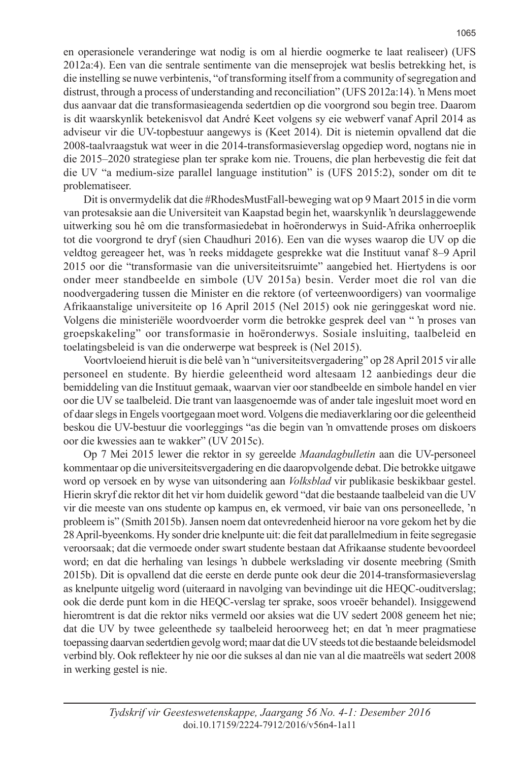en operasionele veranderinge wat nodig is om al hierdie oogmerke te laat realiseer) (UFS 2012a:4). Een van die sentrale sentimente van die menseprojek wat beslis betrekking het, is die instelling se nuwe verbintenis, "of transforming itself from a community of segregation and distrust, through a process of understanding and reconciliation" (UFS 2012a:14). 'n Mens moet dus aanvaar dat die transformasieagenda sedertdien op die voorgrond sou begin tree. Daarom is dit waarskynlik betekenisvol dat André Keet volgens sy eie webwerf vanaf April 2014 as adviseur vir die UV-topbestuur aangewys is (Keet 2014). Dit is nietemin opvallend dat die 2008-taalvraagstuk wat weer in die 2014-transformasieverslag opgediep word, nogtans nie in die 2015–2020 strategiese plan ter sprake kom nie. Trouens, die plan herbevestig die feit dat die UV "a medium-size parallel language institution" is (UFS 2015:2), sonder om dit te problematiseer.

Dit is onvermydelik dat die #RhodesMustFall-beweging wat op 9 Maart 2015 in die vorm van protesaksie aan die Universiteit van Kaapstad begin het, waarskynlik 'n deurslaggewende uitwerking sou hê om die transformasiedebat in hoëronderwys in Suid-Afrika onherroeplik tot die voorgrond te dryf (sien Chaudhuri 2016). Een van die wyses waarop die UV op die veldtog gereageer het, was 'n reeks middagete gesprekke wat die Instituut vanaf 8–9 April 2015 oor die "transformasie van die universiteitsruimte" aangebied het. Hiertydens is oor onder meer standbeelde en simbole (UV 2015a) besin. Verder moet die rol van die noodvergadering tussen die Minister en die rektore (of verteenwoordigers) van voormalige Afrikaanstalige universiteite op 16 April 2015 (Nel 2015) ook nie geringgeskat word nie. Volgens die ministeriële woordvoerder vorm die betrokke gesprek deel van " 'n proses van groepskakeling" oor transformasie in hoëronderwys. Sosiale insluiting, taalbeleid en toelatingsbeleid is van die onderwerpe wat bespreek is (Nel 2015).

Voortvloeiend hieruit is die belê van 'n "universiteitsvergadering" op 28 April 2015 vir alle personeel en studente. By hierdie geleentheid word altesaam 12 aanbiedings deur die bemiddeling van die Instituut gemaak, waarvan vier oor standbeelde en simbole handel en vier oor die UV se taalbeleid. Die trant van laasgenoemde was of ander tale ingesluit moet word en of daar slegs in Engels voortgegaan moet word. Volgens die mediaverklaring oor die geleentheid beskou die UV-bestuur die voorleggings "as die begin van 'n omvattende proses om diskoers oor die kwessies aan te wakker" (UV 2015c).

Op 7 Mei 2015 lewer die rektor in sy gereelde *Maandagbulletin* aan die UV-personeel kommentaar op die universiteitsvergadering en die daaropvolgende debat. Die betrokke uitgawe word op versoek en by wyse van uitsondering aan *Volksblad* vir publikasie beskikbaar gestel. Hierin skryf die rektor dit het vir hom duidelik geword "dat die bestaande taalbeleid van die UV vir die meeste van ons studente op kampus en, ek vermoed, vir baie van ons personeellede, 'n probleem is" (Smith 2015b). Jansen noem dat ontevredenheid hieroor na vore gekom het by die 28 April-byeenkoms. Hy sonder drie knelpunte uit: die feit dat parallelmedium in feite segregasie veroorsaak; dat die vermoede onder swart studente bestaan dat Afrikaanse studente bevoordeel word; en dat die herhaling van lesings 'n dubbele werkslading vir dosente meebring (Smith 2015b). Dit is opvallend dat die eerste en derde punte ook deur die 2014-transformasieverslag as knelpunte uitgelig word (uiteraard in navolging van bevindinge uit die HEQC-ouditverslag; ook die derde punt kom in die HEQC-verslag ter sprake, soos vroeër behandel). Insiggewend hieromtrent is dat die rektor niks vermeld oor aksies wat die UV sedert 2008 geneem het nie; dat die UV by twee geleenthede sy taalbeleid heroorweeg het; en dat 'n meer pragmatiese toepassing daarvan sedertdien gevolg word; maar dat die UV steeds tot die bestaande beleidsmodel verbind bly. Ook reflekteer hy nie oor die sukses al dan nie van al die maatreëls wat sedert 2008 in werking gestel is nie.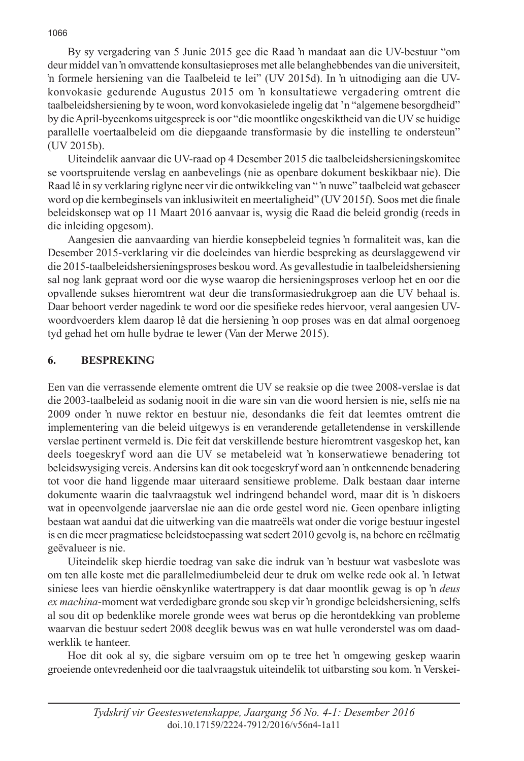By sy vergadering van 5 Junie 2015 gee die Raad 'n mandaat aan die UV-bestuur "om deur middel van 'n omvattende konsultasieproses met alle belanghebbendes van die universiteit, 'n formele hersiening van die Taalbeleid te lei" (UV 2015d). In 'n uitnodiging aan die UVkonvokasie gedurende Augustus 2015 om 'n konsultatiewe vergadering omtrent die taalbeleidshersiening by te woon, word konvokasielede ingelig dat 'n "algemene besorgdheid" by die April-byeenkoms uitgespreek is oor "die moontlike ongeskiktheid van die UV se huidige parallelle voertaalbeleid om die diepgaande transformasie by die instelling te ondersteun" (UV 2015b).

Uiteindelik aanvaar die UV-raad op 4 Desember 2015 die taalbeleidshersieningskomitee se voortspruitende verslag en aanbevelings (nie as openbare dokument beskikbaar nie). Die Raad lê in sy verklaring riglyne neer vir die ontwikkeling van " 'n nuwe" taalbeleid wat gebaseer word op die kernbeginsels van inklusiwiteit en meertaligheid" (UV 2015f). Soos met die finale beleidskonsep wat op 11 Maart 2016 aanvaar is, wysig die Raad die beleid grondig (reeds in die inleiding opgesom).

Aangesien die aanvaarding van hierdie konsepbeleid tegnies 'n formaliteit was, kan die Desember 2015-verklaring vir die doeleindes van hierdie bespreking as deurslaggewend vir die 2015-taalbeleidshersieningsproses beskou word. As gevallestudie in taalbeleidshersiening sal nog lank gepraat word oor die wyse waarop die hersieningsproses verloop het en oor die opvallende sukses hieromtrent wat deur die transformasiedrukgroep aan die UV behaal is. Daar behoort verder nagedink te word oor die spesifieke redes hiervoor, veral aangesien UVwoordvoerders klem daarop lê dat die hersiening 'n oop proses was en dat almal oorgenoeg tyd gehad het om hulle bydrae te lewer (Van der Merwe 2015).

#### **6. BESPREKING**

Een van die verrassende elemente omtrent die UV se reaksie op die twee 2008-verslae is dat die 2003-taalbeleid as sodanig nooit in die ware sin van die woord hersien is nie, selfs nie na 2009 onder 'n nuwe rektor en bestuur nie, desondanks die feit dat leemtes omtrent die implementering van die beleid uitgewys is en veranderende getalletendense in verskillende verslae pertinent vermeld is. Die feit dat verskillende besture hieromtrent vasgeskop het, kan deels toegeskryf word aan die UV se metabeleid wat 'n konserwatiewe benadering tot beleidswysiging vereis. Andersins kan dit ook toegeskryf word aan 'n ontkennende benadering tot voor die hand liggende maar uiteraard sensitiewe probleme. Dalk bestaan daar interne dokumente waarin die taalvraagstuk wel indringend behandel word, maar dit is 'n diskoers wat in opeenvolgende jaarverslae nie aan die orde gestel word nie. Geen openbare inligting bestaan wat aandui dat die uitwerking van die maatreëls wat onder die vorige bestuur ingestel is en die meer pragmatiese beleidstoepassing wat sedert 2010 gevolg is, na behore en reëlmatig geëvalueer is nie.

Uiteindelik skep hierdie toedrag van sake die indruk van 'n bestuur wat vasbeslote was om ten alle koste met die parallelmediumbeleid deur te druk om welke rede ook al. 'n Ietwat siniese lees van hierdie oënskynlike watertrappery is dat daar moontlik gewag is op 'n *deus ex machina*-moment wat verdedigbare gronde sou skep vir 'n grondige beleidshersiening, selfs al sou dit op bedenklike morele gronde wees wat berus op die herontdekking van probleme waarvan die bestuur sedert 2008 deeglik bewus was en wat hulle veronderstel was om daadwerklik te hanteer.

Hoe dit ook al sy, die sigbare versuim om op te tree het 'n omgewing geskep waarin groeiende ontevredenheid oor die taalvraagstuk uiteindelik tot uitbarsting sou kom. 'n Verskei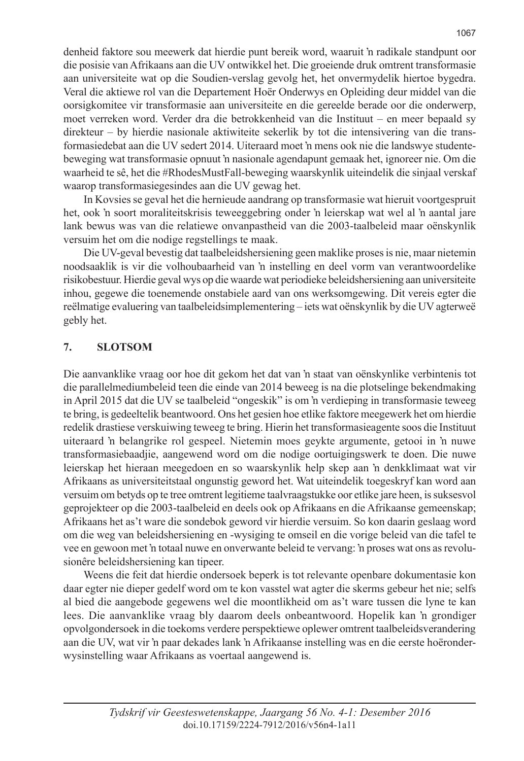denheid faktore sou meewerk dat hierdie punt bereik word, waaruit 'n radikale standpunt oor die posisie van Afrikaans aan die UV ontwikkel het. Die groeiende druk omtrent transformasie aan universiteite wat op die Soudien-verslag gevolg het, het onvermydelik hiertoe bygedra. Veral die aktiewe rol van die Departement Hoër Onderwys en Opleiding deur middel van die oorsigkomitee vir transformasie aan universiteite en die gereelde berade oor die onderwerp, moet verreken word. Verder dra die betrokkenheid van die Instituut – en meer bepaald sy direkteur – by hierdie nasionale aktiwiteite sekerlik by tot die intensivering van die transformasiedebat aan die UV sedert 2014. Uiteraard moet 'n mens ook nie die landswye studentebeweging wat transformasie opnuut 'n nasionale agendapunt gemaak het, ignoreer nie. Om die waarheid te sê, het die #RhodesMustFall-beweging waarskynlik uiteindelik die sinjaal verskaf waarop transformasiegesindes aan die UV gewag het.

In Kovsies se geval het die hernieude aandrang op transformasie wat hieruit voortgespruit het, ook 'n soort moraliteitskrisis teweeggebring onder 'n leierskap wat wel al 'n aantal jare lank bewus was van die relatiewe onvanpastheid van die 2003-taalbeleid maar oënskynlik versuim het om die nodige regstellings te maak.

Die UV-geval bevestig dat taalbeleidshersiening geen maklike proses is nie, maar nietemin noodsaaklik is vir die volhoubaarheid van 'n instelling en deel vorm van verantwoordelike risikobestuur. Hierdie geval wys op die waarde wat periodieke beleidshersiening aan universiteite inhou, gegewe die toenemende onstabiele aard van ons werksomgewing. Dit vereis egter die reëlmatige evaluering van taalbeleidsimplementering – iets wat oënskynlik by die UV agterweë gebly het.

## **7. SLOTSOM**

Die aanvanklike vraag oor hoe dit gekom het dat van 'n staat van oënskynlike verbintenis tot die parallelmediumbeleid teen die einde van 2014 beweeg is na die plotselinge bekendmaking in April 2015 dat die UV se taalbeleid "ongeskik" is om 'n verdieping in transformasie teweeg te bring, is gedeeltelik beantwoord. Ons het gesien hoe etlike faktore meegewerk het om hierdie redelik drastiese verskuiwing teweeg te bring. Hierin het transformasieagente soos die Instituut uiteraard 'n belangrike rol gespeel. Nietemin moes geykte argumente, getooi in 'n nuwe transformasiebaadjie, aangewend word om die nodige oortuigingswerk te doen. Die nuwe leierskap het hieraan meegedoen en so waarskynlik help skep aan 'n denkklimaat wat vir Afrikaans as universiteitstaal ongunstig geword het. Wat uiteindelik toegeskryf kan word aan versuim om betyds op te tree omtrent legitieme taalvraagstukke oor etlike jare heen, is suksesvol geprojekteer op die 2003-taalbeleid en deels ook op Afrikaans en die Afrikaanse gemeenskap; Afrikaans het as't ware die sondebok geword vir hierdie versuim. So kon daarin geslaag word om die weg van beleidshersiening en -wysiging te omseil en die vorige beleid van die tafel te vee en gewoon met 'n totaal nuwe en onverwante beleid te vervang: 'n proses wat ons as revolusionêre beleidshersiening kan tipeer.

Weens die feit dat hierdie ondersoek beperk is tot relevante openbare dokumentasie kon daar egter nie dieper gedelf word om te kon vasstel wat agter die skerms gebeur het nie; selfs al bied die aangebode gegewens wel die moontlikheid om as't ware tussen die lyne te kan lees. Die aanvanklike vraag bly daarom deels onbeantwoord. Hopelik kan 'n grondiger opvolgondersoek in die toekoms verdere perspektiewe oplewer omtrent taalbeleidsverandering aan die UV, wat vir 'n paar dekades lank 'n Afrikaanse instelling was en die eerste hoëronderwysinstelling waar Afrikaans as voertaal aangewend is.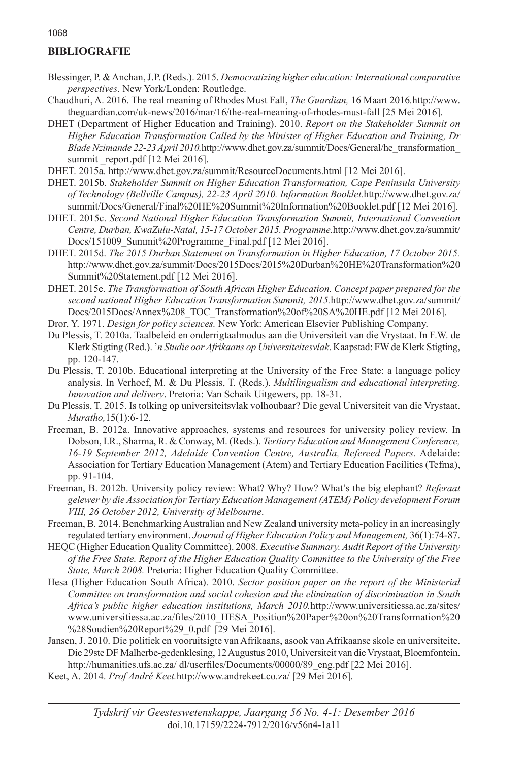## **BIBLIOGRAFIE**

- Blessinger, P. & Anchan, J.P. (Reds.). 2015. *Democratizing higher education: International comparative perspectives.* New York/Londen: Routledge.
- Chaudhuri, A. 2016. The real meaning of Rhodes Must Fall, *The Guardian,* 16 Maart 2016*.*http://www. theguardian.com/uk-news/2016/mar/16/the-real-meaning-of-rhodes-must-fall [25 Mei 2016].
- DHET (Department of Higher Education and Training). 2010. *Report on the Stakeholder Summit on Higher Education Transformation Called by the Minister of Higher Education and Training, Dr Blade Nzimande 22-23 April 2010.*http://www.dhet.gov.za/summit/Docs/General/he\_transformation\_ summit report.pdf [12 Mei 2016].
- DHET. 2015a. http://www.dhet.gov.za/summit/ResourceDocuments.html [12 Mei 2016].
- DHET. 2015b. *Stakeholder Summit on Higher Education Transformation, Cape Peninsula University of Technology (Bellville Campus), 22-23 April 2010. Information Booklet.*http://www.dhet.gov.za/ summit/Docs/General/Final%20HE%20Summit%20Information%20Booklet.pdf [12 Mei 2016].
- DHET. 2015c. *Second National Higher Education Transformation Summit, International Convention Centre, Durban, KwaZulu-Natal, 15-17 October 2015. Programme.*http://www.dhet.gov.za/summit/ Docs/151009\_Summit%20Programme\_Final.pdf [12 Mei 2016].
- DHET. 2015d. *The 2015 Durban Statement on Transformation in Higher Education, 17 October 2015.*  http://www.dhet.gov.za/summit/Docs/2015Docs/2015%20Durban%20HE%20Transformation%20 Summit%20Statement.pdf [12 Mei 2016].
- DHET. 2015e. *The Transformation of South African Higher Education. Concept paper prepared for the second national Higher Education Transformation Summit, 2015.*http://www.dhet.gov.za/summit/ Docs/2015Docs/Annex%208\_TOC\_Transformation%20of%20SA%20HE.pdf [12 Mei 2016].
- Dror, Y. 1971. *Design for policy sciences.* New York: American Elsevier Publishing Company.
- Du Plessis, T. 2010a. Taalbeleid en onderrigtaalmodus aan die Universiteit van die Vrystaat. In F.W. de Klerk Stigting (Red.). '*n Studie oor Afrikaans op Universiteitesvlak*. Kaapstad: FW de Klerk Stigting, pp. 120-147.
- Du Plessis, T. 2010b. Educational interpreting at the University of the Free State: a language policy analysis. In Verhoef, M. & Du Plessis, T. (Reds.). *Multilingualism and educational interpreting. Innovation and delivery*. Pretoria: Van Schaik Uitgewers, pp. 18-31.
- Du Plessis, T. 2015. Is tolking op universiteitsvlak volhoubaar? Die geval Universiteit van die Vrystaat. *Muratho,*15(1):6-12.
- Freeman, B. 2012a. Innovative approaches, systems and resources for university policy review. In Dobson, I.R., Sharma, R. & Conway, M. (Reds.). *Tertiary Education and Management Conference, 16-19 September 2012, Adelaide Convention Centre, Australia, Refereed Papers*. Adelaide: Association for Tertiary Education Management (Atem) and Tertiary Education Facilities (Tefma), pp. 91-104.
- Freeman, B. 2012b. University policy review: What? Why? How? What's the big elephant? *Referaat gelewer by die Association for Tertiary Education Management (ATEM) Policy development Forum VIII, 26 October 2012, University of Melbourne*.
- Freeman, B. 2014. Benchmarking Australian and New Zealand university meta-policy in an increasingly regulated tertiary environment. *Journal of Higher Education Policy and Management,* 36(1):74-87.
- HEQC (Higher Education Quality Committee). 2008. *Executive Summary. Audit Report of the University of the Free State. Report of the Higher Education Quality Committee to the University of the Free State, March 2008.* Pretoria: Higher Education Quality Committee.
- Hesa (Higher Education South Africa). 2010. *Sector position paper on the report of the Ministerial Committee on transformation and social cohesion and the elimination of discrimination in South Africa's public higher education institutions, March 2010.*http://www.universitiessa.ac.za/sites/ www.universitiessa.ac.za/files/2010\_HESA\_Position%20Paper%20on%20Transformation%20 %28Soudien%20Report%29\_0.pdf [29 Mei 2016].
- Jansen, J. 2010. Die politiek en vooruitsigte van Afrikaans, asook van Afrikaanse skole en universiteite. Die 29ste DF Malherbe-gedenklesing, 12 Augustus 2010, Universiteit van die Vrystaat, Bloemfontein. http://humanities.ufs.ac.za/ dl/userfiles/Documents/00000/89\_eng.pdf [22 Mei 2016].
- Keet, A. 2014. *Prof André Keet.*http://www.andrekeet.co.za/ [29 Mei 2016].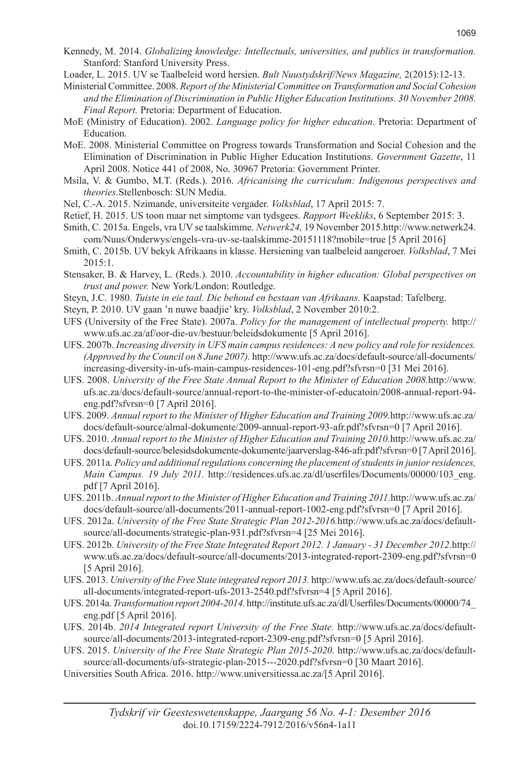- Kennedy, M. 2014. *Globalizing knowledge: Intellectuals, universities, and publics in transformation.* Stanford: Stanford University Press.
- Loader, L. 2015. UV se Taalbeleid word hersien. *Bult Nuustydskrif/News Magazine,* 2(2015):12-13.

Ministerial Committee. 2008. *Report of the Ministerial Committee on Transformation and Social Cohesion and the Elimination of Discrimination in Public Higher Education Institutions. 30 November 2008. Final Report.* Pretoria: Department of Education.

- MoE (Ministry of Education). 2002. *Language policy for higher education*. Pretoria: Department of Education.
- MoE. 2008. Ministerial Committee on Progress towards Transformation and Social Cohesion and the Elimination of Discrimination in Public Higher Education Institutions. *Government Gazette*, 11 April 2008. Notice 441 of 2008, No. 30967 Pretoria: Government Printer.
- Msila, V. & Gumbo, M.T. (Reds.). 2016. *Africanising the curriculum: Indigenous perspectives and theories.*Stellenbosch: SUN Media.
- Nel, C.-A. 2015. Nzimande, universiteite vergader. *Volksblad*, 17 April 2015: 7.
- Retief, H. 2015. US toon maar net simptome van tydsgees. *Rapport Weekliks*, 6 September 2015: 3.
- Smith, C. 2015a. Engels, vra UV se taalskimme. *Netwerk24,* 19 November 2015.http://www.netwerk24. com/Nuus/Onderwys/engels-vra-uv-se-taalskimme-20151118?mobile=true [5 April 2016]
- Smith, C. 2015b. UV bekyk Afrikaans in klasse. Hersiening van taalbeleid aangeroer. *Volksblad*, 7 Mei 2015:1.
- Stensaker, B. & Harvey, L. (Reds.). 2010. *Accountability in higher education: Global perspectives on trust and power.* New York/London: Routledge.
- Steyn, J.C. 1980. *Tuiste in eie taal. Die behoud en bestaan van Afrikaans.* Kaapstad: Tafelberg.
- Steyn, P. 2010. UV gaan 'n nuwe baadjie' kry. *Volksblad*, 2 November 2010:2.
- UFS (University of the Free State). 2007a. *Policy for the management of intellectual property.* http:// www.ufs.ac.za/af/oor-die-uv/bestuur/beleidsdokumente [5 April 2016].
- UFS. 2007b. *Increasing diversity in UFS main campus residences: A new policy and role for residences. (Approved by the Council on 8 June 2007).* http://www.ufs.ac.za/docs/default-source/all-documents/ increasing-diversity-in-ufs-main-campus-residences-101-eng.pdf?sfvrsn=0 [31 Mei 2016].
- UFS. 2008. *University of the Free State Annual Report to the Minister of Education 2008.*http://www. ufs.ac.za/docs/default-source/annual-report-to-the-minister-of-educatoin/2008-annual-report-94 eng.pdf?sfvrsn=0 [7 April 2016].
- UFS. 2009. *Annual report to the Minister of Higher Education and Training 2009.*http://www.ufs.ac.za/ docs/default-source/almal-dokumente/2009-annual-report-93-afr.pdf?sfvrsn=0 [7 April 2016].
- UFS. 2010. *Annual report to the Minister of Higher Education and Training 2010.*http://www.ufs.ac.za/ docs/default-source/belesidsdokumente-dokumente/jaarverslag-846-afr.pdf?sfvrsn=0 [7 April 2016].
- UFS. 2011a. *Policy and additional regulations concerning the placement of students in junior residences, Main Campus. 19 July 2011.* http://residences.ufs.ac.za/dl/userfiles/Documents/00000/103\_eng. pdf [7 April 2016].
- UFS. 2011b. *Annual report to the Minister of Higher Education and Training 2011.*http://www.ufs.ac.za/ docs/default-source/all-documents/2011-annual-report-1002-eng.pdf?sfvrsn=0 [7 April 2016].
- UFS. 2012a. *University of the Free State Strategic Plan 2012-2016.*http://www.ufs.ac.za/docs/defaultsource/all-documents/strategic-plan-931.pdf?sfvrsn=4 [25 Mei 2016].
- UFS. 2012b. *University of the Free State Integrated Report 2012. 1 January 31 December 2012.*http:// www.ufs.ac.za/docs/default-source/all-documents/2013-integrated-report-2309-eng.pdf?sfvrsn=0 [5 April 2016].
- UFS. 2013. *University of the Free State integrated report 2013.* http://www.ufs.ac.za/docs/default-source/ all-documents/integrated-report-ufs-2013-2540.pdf?sfvrsn=4 [5 April 2016].
- UFS. 2014a. *Transformation report 2004-2014.* http://institute.ufs.ac.za/dl/Userfiles/Documents/00000/74\_ eng.pdf [5 April 2016].
- UFS. 2014b. *2014 Integrated report University of the Free State.* http://www.ufs.ac.za/docs/defaultsource/all-documents/2013-integrated-report-2309-eng.pdf?sfvrsn=0 [5 April 2016].
- UFS. 2015. *University of the Free State Strategic Plan 2015-2020.* http://www.ufs.ac.za/docs/defaultsource/all-documents/ufs-strategic-plan-2015---2020.pdf?sfvrsn=0 [30 Maart 2016].
- Universities South Africa. 2016. http://www.universitiessa.ac.za/[5 April 2016].